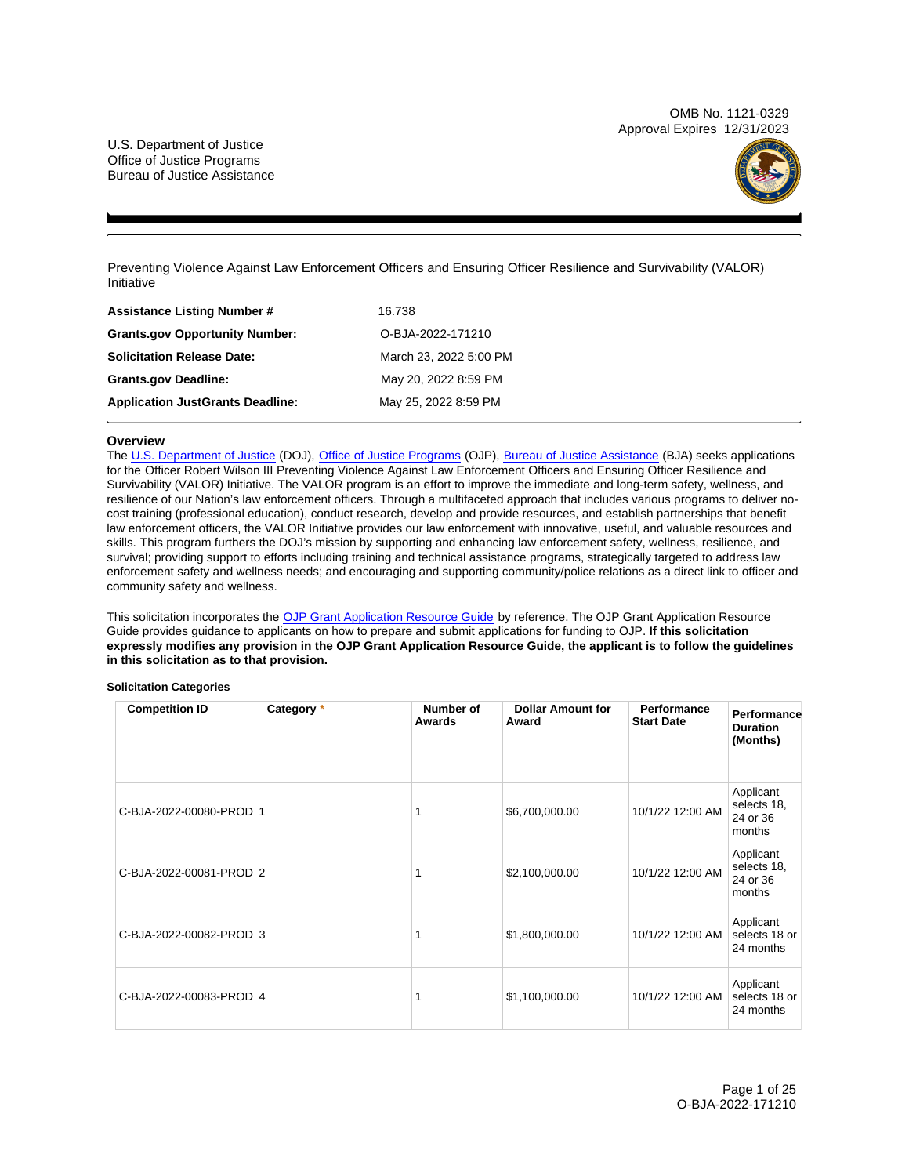OMB No. 1121-0329 Approval Expires 12/31/2023

U.S. Department of Justice Office of Justice Programs Bureau of Justice Assistance



Preventing Violence Against Law Enforcement Officers and Ensuring Officer Resilience and Survivability (VALOR) Initiative

| <b>Assistance Listing Number #</b>      | 16.738                 |
|-----------------------------------------|------------------------|
| <b>Grants.gov Opportunity Number:</b>   | O-BJA-2022-171210      |
| <b>Solicitation Release Date:</b>       | March 23, 2022 5:00 PM |
| <b>Grants.gov Deadline:</b>             | May 20, 2022 8:59 PM   |
| <b>Application JustGrants Deadline:</b> | May 25, 2022 8:59 PM   |

# **Overview**

The [U.S. Department of Justice](https://www.usdoj.gov/) (DOJ), [Office of Justice Programs](https://www.ojp.usdoj.gov/) (OJP), [Bureau of Justice Assistance](https://bja.ojp.gov/) (BJA) seeks applications for the Officer Robert Wilson III Preventing Violence Against Law Enforcement Officers and Ensuring Officer Resilience and Survivability (VALOR) Initiative. The VALOR program is an effort to improve the immediate and long-term safety, wellness, and resilience of our Nation's law enforcement officers. Through a multifaceted approach that includes various programs to deliver nocost training (professional education), conduct research, develop and provide resources, and establish partnerships that benefit law enforcement officers, the VALOR Initiative provides our law enforcement with innovative, useful, and valuable resources and skills. This program furthers the DOJ's mission by supporting and enhancing law enforcement safety, wellness, resilience, and survival; providing support to efforts including training and technical assistance programs, strategically targeted to address law enforcement safety and wellness needs; and encouraging and supporting community/police relations as a direct link to officer and community safety and wellness.

This solicitation incorporates the [OJP Grant Application Resource Guide](https://www.ojp.gov/funding/Apply/Resources/Grant-App-Resource-Guide.htm) by reference. The OJP Grant Application Resource Guide provides guidance to applicants on how to prepare and submit applications for funding to OJP. **If this solicitation expressly modifies any provision in the OJP Grant Application Resource Guide, the applicant is to follow the guidelines in this solicitation as to that provision.** 

## **Solicitation Categories**

| <b>Competition ID</b>   | Category * | Number of<br>Awards | <b>Dollar Amount for</b><br>Award | Performance<br><b>Start Date</b> | Performance<br><b>Duration</b><br>(Months)     |
|-------------------------|------------|---------------------|-----------------------------------|----------------------------------|------------------------------------------------|
| C-BJA-2022-00080-PROD 1 |            |                     | \$6,700,000.00                    | 10/1/22 12:00 AM                 | Applicant<br>selects 18,<br>24 or 36<br>months |
| C-BJA-2022-00081-PROD 2 |            |                     | \$2,100,000.00                    | 10/1/22 12:00 AM                 | Applicant<br>selects 18.<br>24 or 36<br>months |
| C-BJA-2022-00082-PROD 3 |            |                     | \$1,800,000.00                    | 10/1/22 12:00 AM                 | Applicant<br>selects 18 or<br>24 months        |
| C-BJA-2022-00083-PROD 4 |            |                     | \$1,100,000.00                    | 10/1/22 12:00 AM                 | Applicant<br>selects 18 or<br>24 months        |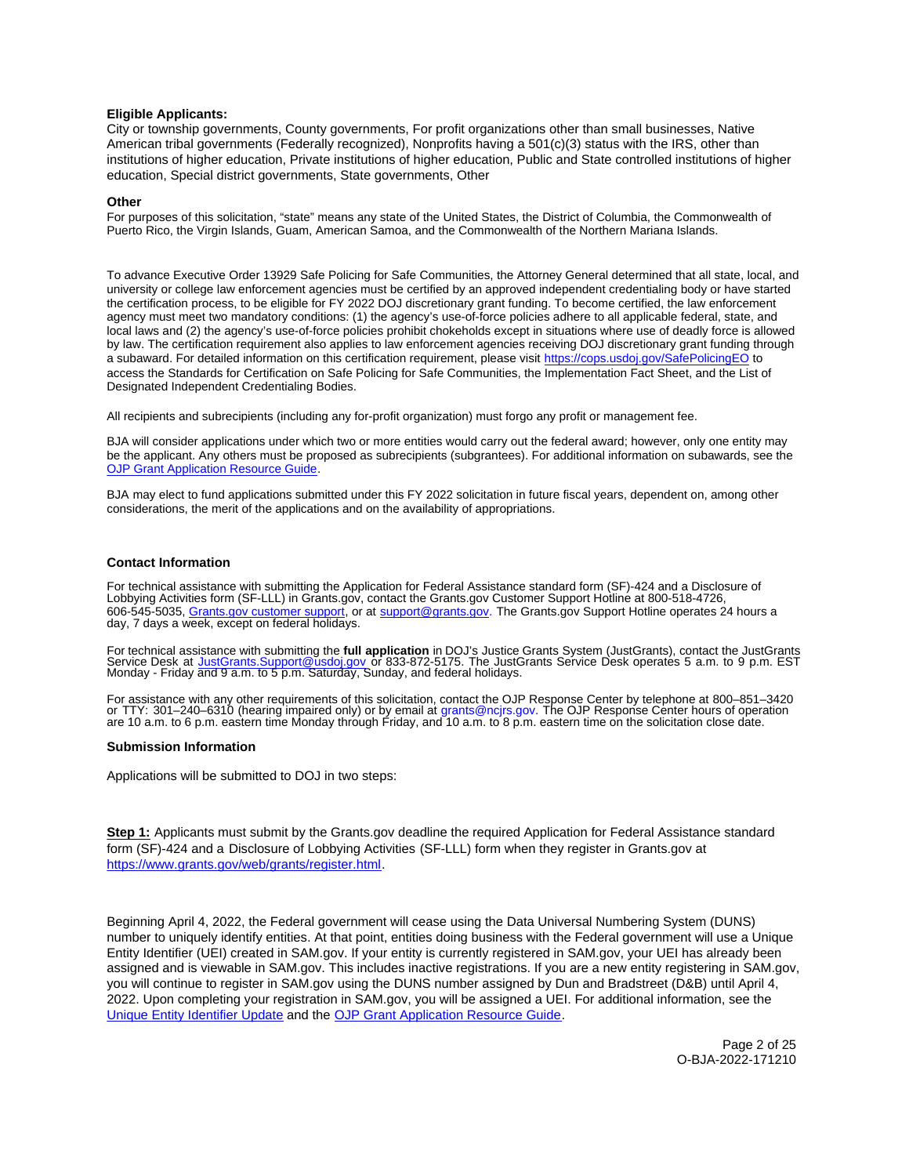# <span id="page-1-0"></span>**Eligible Applicants:**

City or township governments, County governments, For profit organizations other than small businesses, Native American tribal governments (Federally recognized), Nonprofits having a 501(c)(3) status with the IRS, other than institutions of higher education, Private institutions of higher education, Public and State controlled institutions of higher education, Special district governments, State governments, Other

## **Other**

For purposes of this solicitation, "state" means any state of the United States, the District of Columbia, the Commonwealth of Puerto Rico, the Virgin Islands, Guam, American Samoa, and the Commonwealth of the Northern Mariana Islands.

To advance Executive Order 13929 Safe Policing for Safe Communities, the Attorney General determined that all state, local, and university or college law enforcement agencies must be certified by an approved independent credentialing body or have started the certification process, to be eligible for FY 2022 DOJ discretionary grant funding. To become certified, the law enforcement agency must meet two mandatory conditions: (1) the agency's use-of-force policies adhere to all applicable federal, state, and local laws and (2) the agency's use-of-force policies prohibit chokeholds except in situations where use of deadly force is allowed by law. The certification requirement also applies to law enforcement agencies receiving DOJ discretionary grant funding through a subaward. For detailed information on this certification requirement, please visit [https://cops.usdoj.gov/SafePolicingEO](https://cops.usdoj.gov/SafePolicingEO%20) to access the Standards for Certification on Safe Policing for Safe Communities, the Implementation Fact Sheet, and the List of Designated Independent Credentialing Bodies.

All recipients and subrecipients (including any for-profit organization) must forgo any profit or management fee.

BJA will consider applications under which two or more entities would carry out the federal award; however, only one entity may be the applicant. Any others must be proposed as subrecipients (subgrantees). For additional information on subawards, see the [OJP Grant Application Resource Guide.](https://www.ojp.gov/funding/Apply/Resources/Grant-App-Resource-Guide.htm)

BJA may elect to fund applications submitted under this FY 2022 solicitation in future fiscal years, dependent on, among other considerations, the merit of the applications and on the availability of appropriations.

## **Contact Information**

For technical assistance with submitting the Application for Federal Assistance standard form (SF)-424 and a Disclosure of Lobbying Activities form (SF-LLL) in [Grants.gov,](https://Grants.gov) contact the [Grants.gov](https://Grants.gov) Customer Support Hotline at 800-518-4726, 606-545-5035, [Grants.gov customer support,](https://www.grants.gov/web/grants/support.html) or at [support@grants.gov.](mailto:support@grants.gov) The [Grants.gov](https://Grants.gov) Support Hotline operates 24 hours a day, 7 days a week, except on federal holidays.

For technical assistance with submitting the **full application** in DOJ's Justice Grants System (JustGrants), contact the JustGrants<br>Service Desk at [JustGrants.Support@usdoj.gov](mailto:JustGrants.Support@usdoj.gov) or 833-872-5175. The JustGrants Service Desk

For assistance with any other requirements of this solicitation, contact the OJP Response Center by telephone at 800–851–3420<br>or TTY: 301–240–6310 (hearing impaired only) or by email at [grants@ncjrs.gov. T](mailto:grants@ncjrs.gov)he OJP Response C

## **Submission Information**

Applications will be submitted to DOJ in two steps:

**Step 1:** Applicants must submit by the [Grants.gov](https://Grants.gov) deadline the required Application for Federal Assistance standard form (SF)-424 and a Disclosure of Lobbying Activities (SF-LLL) form when they register in [Grants.gov](https://Grants.gov) at [https://www.grants.gov/web/grants/register.html.](https://www.grants.gov/web/grants/register.html)

Beginning April 4, 2022, the Federal government will cease using the Data Universal Numbering System (DUNS) number to uniquely identify entities. At that point, entities doing business with the Federal government will use a Unique Entity Identifier (UEI) created in SAM.gov. If your entity is currently registered in SAM.gov, your UEI has already been assigned and is viewable in SAM.gov. This includes inactive registrations. If you are a new entity registering in SAM.gov, you will continue to register in SAM.gov using the DUNS number assigned by Dun and Bradstreet (D&B) until April 4, 2022. Upon completing your registration in SAM.gov, you will be assigned a UEI. For additional information, see the [Unique Entity Identifier Update](https://www.gsa.gov/about-us/organization/federal-acquisition-service/office-of-systems-management/integrated-award-environment-iae/iae-systems-information-kit/unique-entity-identifier-update) and the [OJP Grant Application Resource Guide.](https://www.ojp.gov/funding/apply/ojp-grant-application-resource-guide#unique-entity)

> Page 2 of 25 O-BJA-2022-171210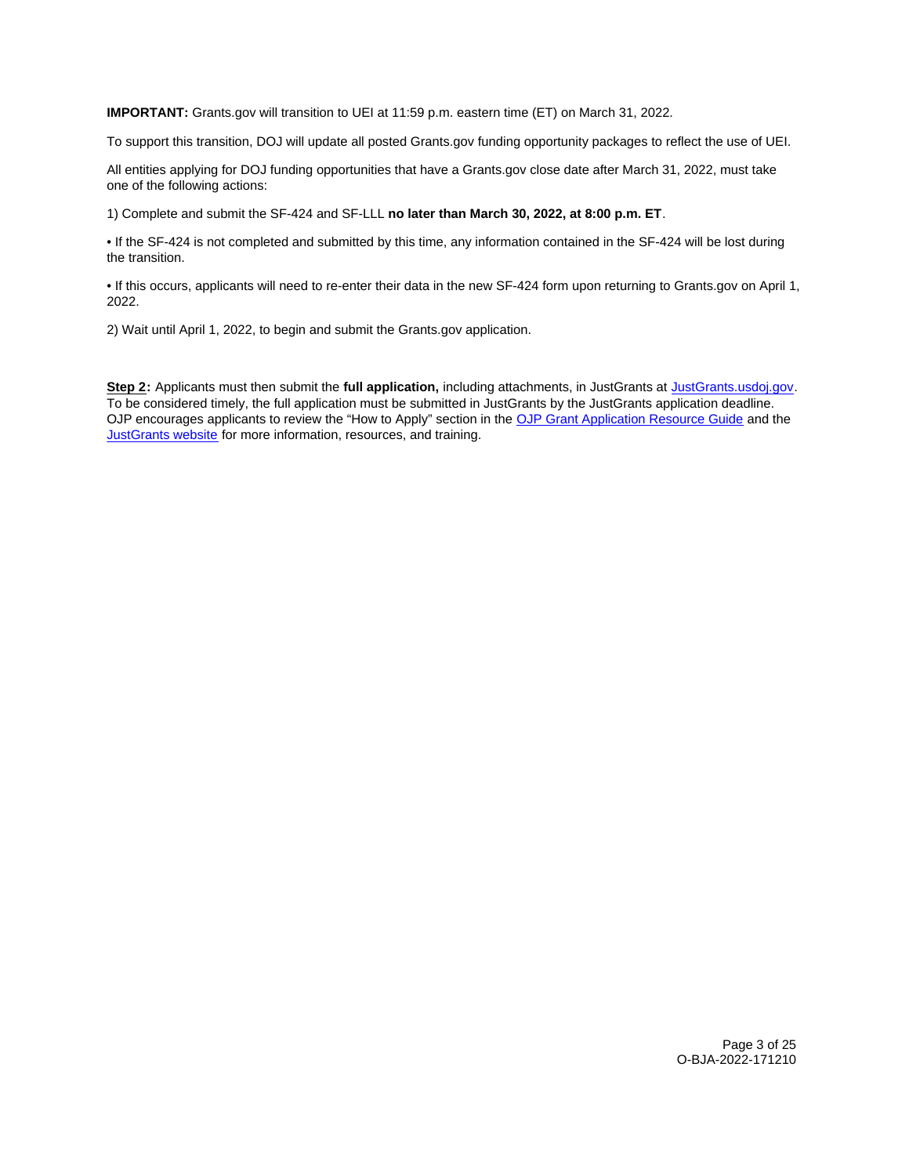**IMPORTANT:** [Grants.gov](https://Grants.gov) will transition to UEI at 11:59 p.m. eastern time (ET) on March 31, 2022.

To support this transition, DOJ will update all posted [Grants.gov](https://Grants.gov) funding opportunity packages to reflect the use of UEI.

All entities applying for DOJ funding opportunities that have a [Grants.gov](https://Grants.gov) close date after March 31, 2022, must take one of the following actions:

1) Complete and submit the SF-424 and SF-LLL **no later than March 30, 2022, at 8:00 p.m. ET**.

• If the SF-424 is not completed and submitted by this time, any information contained in the SF-424 will be lost during the transition.

• If this occurs, applicants will need to re-enter their data in the new SF-424 form upon returning to [Grants.gov](https://Grants.gov) on April 1, 2022.

2) Wait until April 1, 2022, to begin and submit the [Grants.gov](https://Grants.gov) application.

**Step 2:** Applicants must then submit the **full application,** including attachments, in JustGrants at [JustGrants.usdoj.gov.](https://justicegrants.usdoj.gov/) To be considered timely, the full application must be submitted in JustGrants by the JustGrants application deadline. OJP encourages applicants to review the "How to Apply" section in the [OJP Grant Application Resource Guide](https://www.ojp.gov/funding/apply/ojp-grant-application-resource-guide#apply) and the [JustGrants website](https://justicegrants.usdoj.gov/news) for more information, resources, and training.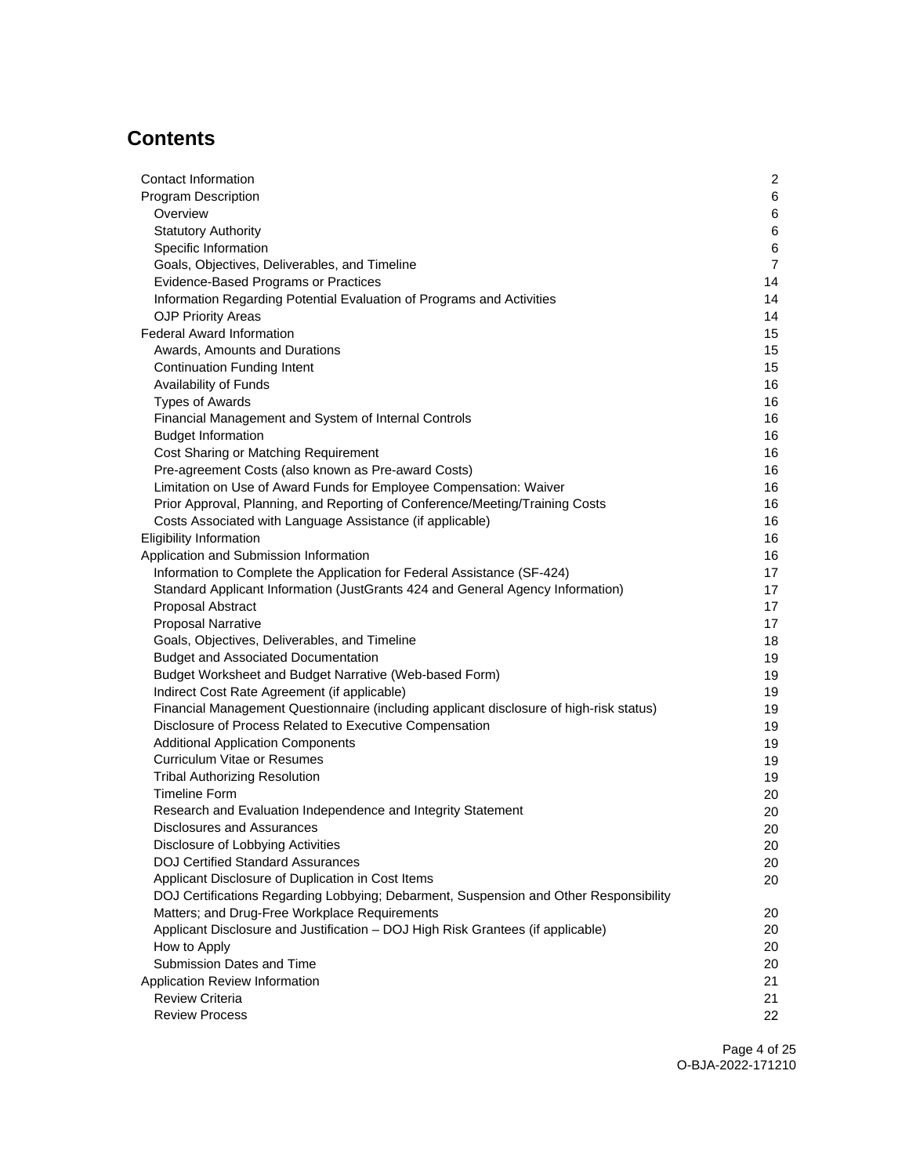# **Contents**

| Contact Information                                                                     | $\overline{c}$ |
|-----------------------------------------------------------------------------------------|----------------|
| <b>Program Description</b>                                                              | 6              |
| Overview                                                                                | 6              |
| <b>Statutory Authority</b>                                                              | 6              |
| Specific Information                                                                    | 6              |
| Goals, Objectives, Deliverables, and Timeline                                           | $\overline{7}$ |
| Evidence-Based Programs or Practices                                                    | 14             |
| Information Regarding Potential Evaluation of Programs and Activities                   | 14             |
| <b>OJP Priority Areas</b>                                                               | 14             |
| <b>Federal Award Information</b>                                                        | 15             |
| Awards, Amounts and Durations                                                           | 15             |
| <b>Continuation Funding Intent</b>                                                      | 15             |
| Availability of Funds                                                                   | 16             |
| <b>Types of Awards</b>                                                                  | 16             |
| Financial Management and System of Internal Controls                                    | 16             |
| <b>Budget Information</b>                                                               | 16             |
| Cost Sharing or Matching Requirement                                                    | 16             |
| Pre-agreement Costs (also known as Pre-award Costs)                                     | 16             |
| Limitation on Use of Award Funds for Employee Compensation: Waiver                      | 16             |
| Prior Approval, Planning, and Reporting of Conference/Meeting/Training Costs            | 16             |
| Costs Associated with Language Assistance (if applicable)                               | 16             |
| <b>Eligibility Information</b>                                                          | 16             |
| Application and Submission Information                                                  | 16             |
| Information to Complete the Application for Federal Assistance (SF-424)                 | 17             |
| Standard Applicant Information (JustGrants 424 and General Agency Information)          | 17             |
| Proposal Abstract                                                                       | 17             |
| <b>Proposal Narrative</b>                                                               | 17             |
| Goals, Objectives, Deliverables, and Timeline                                           | 18             |
| <b>Budget and Associated Documentation</b>                                              | 19             |
| Budget Worksheet and Budget Narrative (Web-based Form)                                  | 19             |
| Indirect Cost Rate Agreement (if applicable)                                            | 19             |
| Financial Management Questionnaire (including applicant disclosure of high-risk status) | 19             |
| Disclosure of Process Related to Executive Compensation                                 | 19             |
| <b>Additional Application Components</b>                                                | 19             |
| <b>Curriculum Vitae or Resumes</b>                                                      | 19             |
| <b>Tribal Authorizing Resolution</b>                                                    | 19             |
| <b>Timeline Form</b>                                                                    | 20             |
| Research and Evaluation Independence and Integrity Statement                            | 20             |
| Disclosures and Assurances                                                              | 20             |
| Disclosure of Lobbying Activities                                                       | 20             |
| <b>DOJ Certified Standard Assurances</b>                                                | 20             |
| Applicant Disclosure of Duplication in Cost Items                                       | 20             |
| DOJ Certifications Regarding Lobbying; Debarment, Suspension and Other Responsibility   |                |
| Matters; and Drug-Free Workplace Requirements                                           | 20             |
| Applicant Disclosure and Justification - DOJ High Risk Grantees (if applicable)         | 20             |
| How to Apply                                                                            | 20             |
| Submission Dates and Time                                                               | 20             |
| Application Review Information                                                          | 21             |
| <b>Review Criteria</b>                                                                  | 21             |
| <b>Review Process</b>                                                                   | 22             |

Page 4 of 25 O-BJA-2022-171210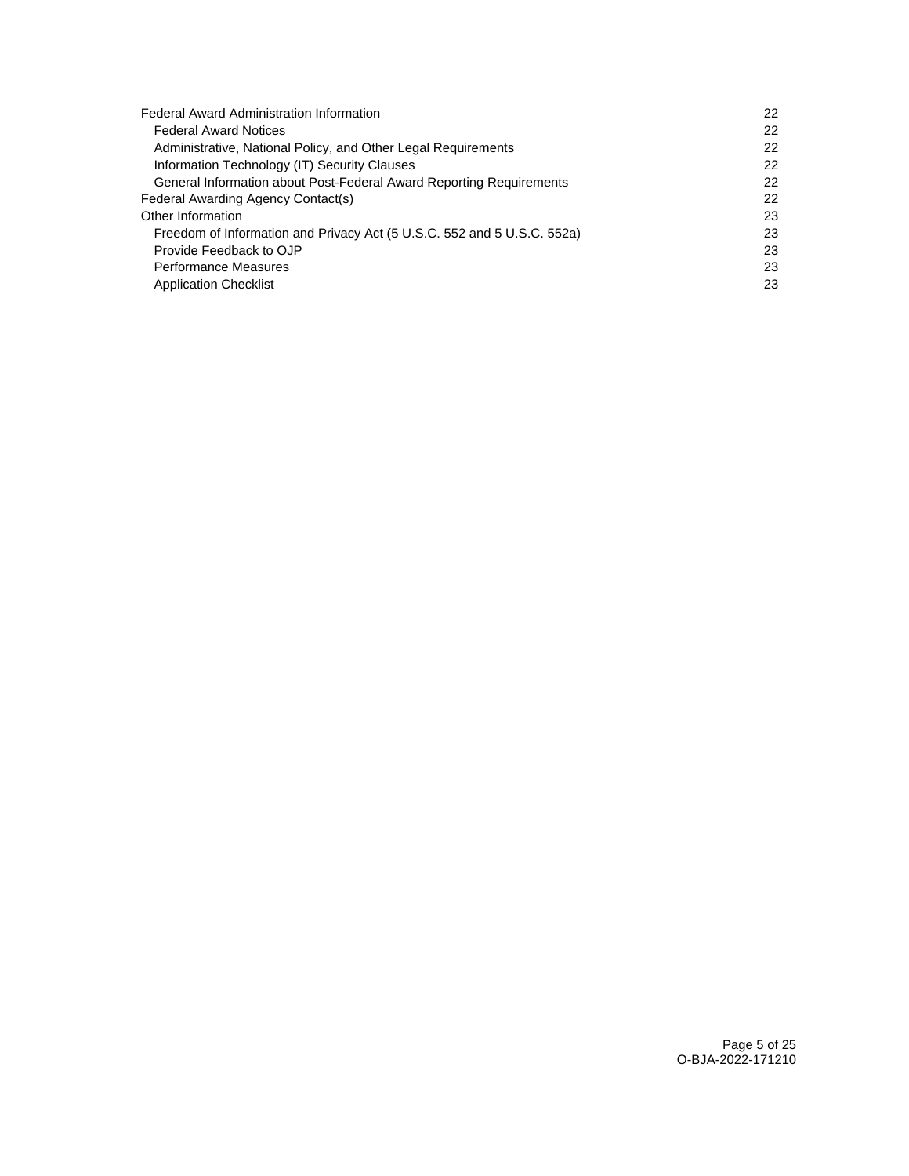| <b>Federal Award Administration Information</b>                         | 22 |
|-------------------------------------------------------------------------|----|
| <b>Federal Award Notices</b>                                            | 22 |
| Administrative, National Policy, and Other Legal Requirements           | 22 |
| Information Technology (IT) Security Clauses                            | 22 |
| General Information about Post-Federal Award Reporting Requirements     | 22 |
| Federal Awarding Agency Contact(s)                                      | 22 |
| Other Information                                                       | 23 |
| Freedom of Information and Privacy Act (5 U.S.C. 552 and 5 U.S.C. 552a) | 23 |
| Provide Feedback to OJP                                                 | 23 |
| Performance Measures                                                    | 23 |
| <b>Application Checklist</b>                                            | 23 |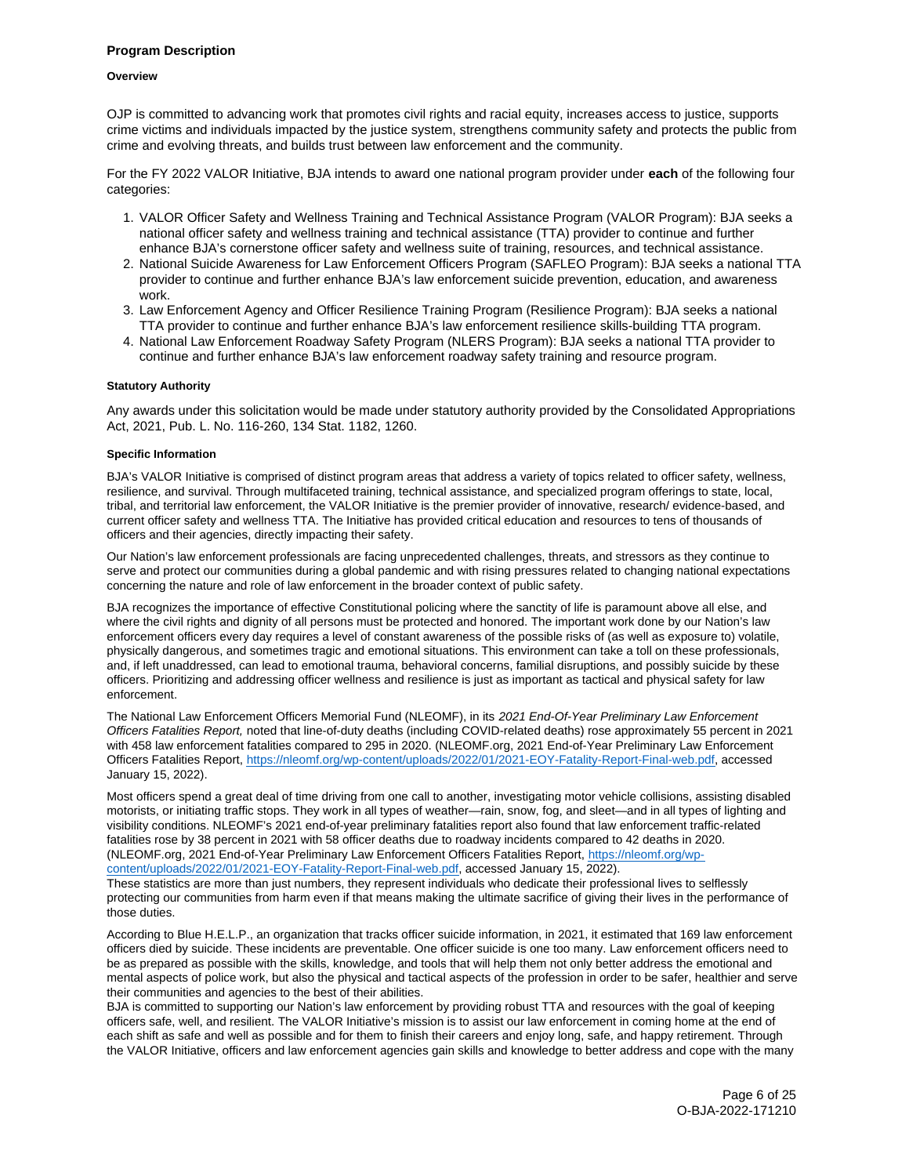## <span id="page-5-0"></span>**Program Description**

#### **Overview**

OJP is committed to advancing work that promotes civil rights and racial equity, increases access to justice, supports crime victims and individuals impacted by the justice system, strengthens community safety and protects the public from crime and evolving threats, and builds trust between law enforcement and the community.

For the FY 2022 VALOR Initiative, BJA intends to award one national program provider under **each** of the following four categories:

- 1. VALOR Officer Safety and Wellness Training and Technical Assistance Program (VALOR Program): BJA seeks a national officer safety and wellness training and technical assistance (TTA) provider to continue and further enhance BJA's cornerstone officer safety and wellness suite of training, resources, and technical assistance.
- 2. National Suicide Awareness for Law Enforcement Officers Program (SAFLEO Program): BJA seeks a national TTA provider to continue and further enhance BJA's law enforcement suicide prevention, education, and awareness work.
- 3. Law Enforcement Agency and Officer Resilience Training Program (Resilience Program): BJA seeks a national TTA provider to continue and further enhance BJA's law enforcement resilience skills-building TTA program.
- 4. National Law Enforcement Roadway Safety Program (NLERS Program): BJA seeks a national TTA provider to continue and further enhance BJA's law enforcement roadway safety training and resource program.

## **Statutory Authority**

Any awards under this solicitation would be made under statutory authority provided by the Consolidated Appropriations Act, 2021, Pub. L. No. 116-260, 134 Stat. 1182, 1260.

## **Specific Information**

BJA's VALOR Initiative is comprised of distinct program areas that address a variety of topics related to officer safety, wellness, resilience, and survival. Through multifaceted training, technical assistance, and specialized program offerings to state, local, tribal, and territorial law enforcement, the VALOR Initiative is the premier provider of innovative, research/ evidence-based, and current officer safety and wellness TTA. The Initiative has provided critical education and resources to tens of thousands of officers and their agencies, directly impacting their safety.

Our Nation's law enforcement professionals are facing unprecedented challenges, threats, and stressors as they continue to serve and protect our communities during a global pandemic and with rising pressures related to changing national expectations concerning the nature and role of law enforcement in the broader context of public safety.

BJA recognizes the importance of effective Constitutional policing where the sanctity of life is paramount above all else, and where the civil rights and dignity of all persons must be protected and honored. The important work done by our Nation's law enforcement officers every day requires a level of constant awareness of the possible risks of (as well as exposure to) volatile, physically dangerous, and sometimes tragic and emotional situations. This environment can take a toll on these professionals, and, if left unaddressed, can lead to emotional trauma, behavioral concerns, familial disruptions, and possibly suicide by these officers. Prioritizing and addressing officer wellness and resilience is just as important as tactical and physical safety for law enforcement.

The National Law Enforcement Officers Memorial Fund (NLEOMF), in its 2021 End-Of-Year Preliminary Law Enforcement Officers Fatalities Report, noted that line-of-duty deaths (including COVID-related deaths) rose approximately 55 percent in 2021 with 458 law enforcement fatalities compared to 295 in 2020. ([NLEOMF.org,](https://NLEOMF.org) 2021 End-of-Year Preliminary Law Enforcement Officers Fatalities Report, [https://nleomf.org/wp-content/uploads/2022/01/2021-EOY-Fatality-Report-Final-web.pdf,](https://nleomf.org/wp-content/uploads/2022/01/2021-EOY-Fatality-Report-Final-web.pdf) accessed January 15, 2022).

Most officers spend a great deal of time driving from one call to another, investigating motor vehicle collisions, assisting disabled motorists, or initiating traffic stops. They work in all types of weather—rain, snow, fog, and sleet—and in all types of lighting and visibility conditions. NLEOMF's 2021 end-of-year preliminary fatalities report also found that law enforcement traffic-related fatalities rose by 38 percent in 2021 with 58 officer deaths due to roadway incidents compared to 42 deaths in 2020. ([NLEOMF.org,](https://NLEOMF.org) 2021 End-of-Year Preliminary Law Enforcement Officers Fatalities Report, [https://nleomf.org/wp](https://nleomf.org/wp-content/uploads/2022/01/2021-EOY-Fatality-Report-Final-web.pdf)[content/uploads/2022/01/2021-EOY-Fatality-Report-Final-web.pdf,](https://nleomf.org/wp-content/uploads/2022/01/2021-EOY-Fatality-Report-Final-web.pdf) accessed January 15, 2022).

These statistics are more than just numbers, they represent individuals who dedicate their professional lives to selflessly protecting our communities from harm even if that means making the ultimate sacrifice of giving their lives in the performance of those duties.

According to Blue H.E.L.P., an organization that tracks officer suicide information, in 2021, it estimated that 169 law enforcement officers died by suicide. These incidents are preventable. One officer suicide is one too many. Law enforcement officers need to be as prepared as possible with the skills, knowledge, and tools that will help them not only better address the emotional and mental aspects of police work, but also the physical and tactical aspects of the profession in order to be safer, healthier and serve their communities and agencies to the best of their abilities.

BJA is committed to supporting our Nation's law enforcement by providing robust TTA and resources with the goal of keeping officers safe, well, and resilient. The VALOR Initiative's mission is to assist our law enforcement in coming home at the end of each shift as safe and well as possible and for them to finish their careers and enjoy long, safe, and happy retirement. Through the VALOR Initiative, officers and law enforcement agencies gain skills and knowledge to better address and cope with the many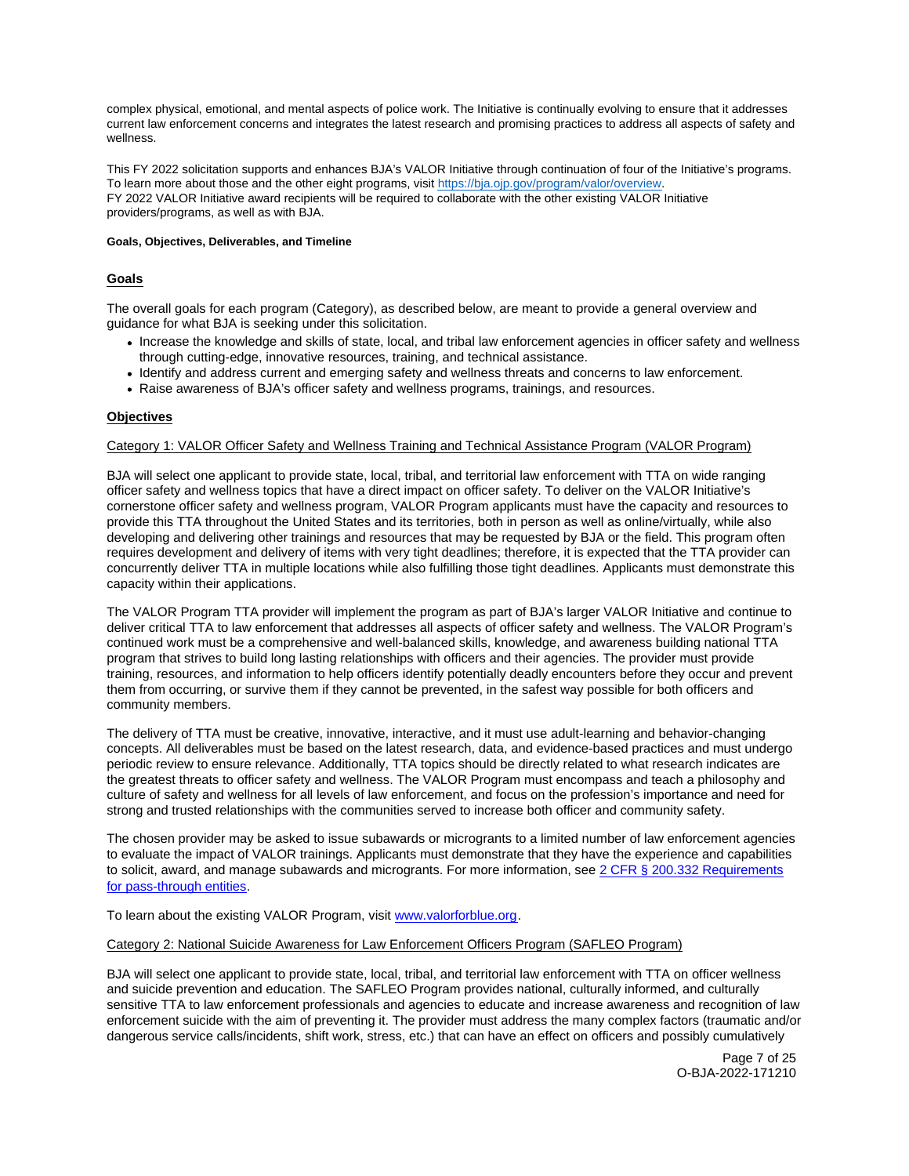<span id="page-6-0"></span>complex physical, emotional, and mental aspects of police work. The Initiative is continually evolving to ensure that it addresses current law enforcement concerns and integrates the latest research and promising practices to address all aspects of safety and wellness.

This FY 2022 solicitation supports and enhances BJA's VALOR Initiative through continuation of four of the Initiative's programs. To learn more about those and the other eight programs, visit [https://bja.ojp.gov/program/valor/overview.](https://bja.ojp.gov/program/valor/overview)  FY 2022 VALOR Initiative award recipients will be required to collaborate with the other existing VALOR Initiative providers/programs, as well as with BJA.

## **Goals, Objectives, Deliverables, and Timeline**

# **Goals**

The overall goals for each program (Category), as described below, are meant to provide a general overview and guidance for what BJA is seeking under this solicitation.

- Increase the knowledge and skills of state, local, and tribal law enforcement agencies in officer safety and wellness through cutting-edge, innovative resources, training, and technical assistance.
- Identify and address current and emerging safety and wellness threats and concerns to law enforcement.
- Raise awareness of BJA's officer safety and wellness programs, trainings, and resources.

# **Objectives**

## Category 1: VALOR Officer Safety and Wellness Training and Technical Assistance Program (VALOR Program)

BJA will select one applicant to provide state, local, tribal, and territorial law enforcement with TTA on wide ranging officer safety and wellness topics that have a direct impact on officer safety. To deliver on the VALOR Initiative's cornerstone officer safety and wellness program, VALOR Program applicants must have the capacity and resources to provide this TTA throughout the United States and its territories, both in person as well as online/virtually, while also developing and delivering other trainings and resources that may be requested by BJA or the field. This program often requires development and delivery of items with very tight deadlines; therefore, it is expected that the TTA provider can concurrently deliver TTA in multiple locations while also fulfilling those tight deadlines. Applicants must demonstrate this capacity within their applications.

The VALOR Program TTA provider will implement the program as part of BJA's larger VALOR Initiative and continue to deliver critical TTA to law enforcement that addresses all aspects of officer safety and wellness. The VALOR Program's continued work must be a comprehensive and well-balanced skills, knowledge, and awareness building national TTA program that strives to build long lasting relationships with officers and their agencies. The provider must provide training, resources, and information to help officers identify potentially deadly encounters before they occur and prevent them from occurring, or survive them if they cannot be prevented, in the safest way possible for both officers and community members.

The delivery of TTA must be creative, innovative, interactive, and it must use adult-learning and behavior-changing concepts. All deliverables must be based on the latest research, data, and evidence-based practices and must undergo periodic review to ensure relevance. Additionally, TTA topics should be directly related to what research indicates are the greatest threats to officer safety and wellness. The VALOR Program must encompass and teach a philosophy and culture of safety and wellness for all levels of law enforcement, and focus on the profession's importance and need for strong and trusted relationships with the communities served to increase both officer and community safety.

The chosen provider may be asked to issue subawards or microgrants to a limited number of law enforcement agencies to evaluate the impact of VALOR trainings. Applicants must demonstrate that they have the experience and capabilities to solicit, award, and manage subawards and microgrants. For more information, see 2 CFR § 200.332 Requirements [for pass-through entities.](https://www.ecfr.gov/current/title-2/subtitle-A/chapter-II/part-200/subpart-D)

To learn about the existing VALOR Program, visit [www.valorforblue.org.](http://www.valorforblue.org)

# Category 2: National Suicide Awareness for Law Enforcement Officers Program (SAFLEO Program)

BJA will select one applicant to provide state, local, tribal, and territorial law enforcement with TTA on officer wellness and suicide prevention and education. The SAFLEO Program provides national, culturally informed, and culturally sensitive TTA to law enforcement professionals and agencies to educate and increase awareness and recognition of law enforcement suicide with the aim of preventing it. The provider must address the many complex factors (traumatic and/or dangerous service calls/incidents, shift work, stress, etc.) that can have an effect on officers and possibly cumulatively

> Page 7 of 25 O-BJA-2022-171210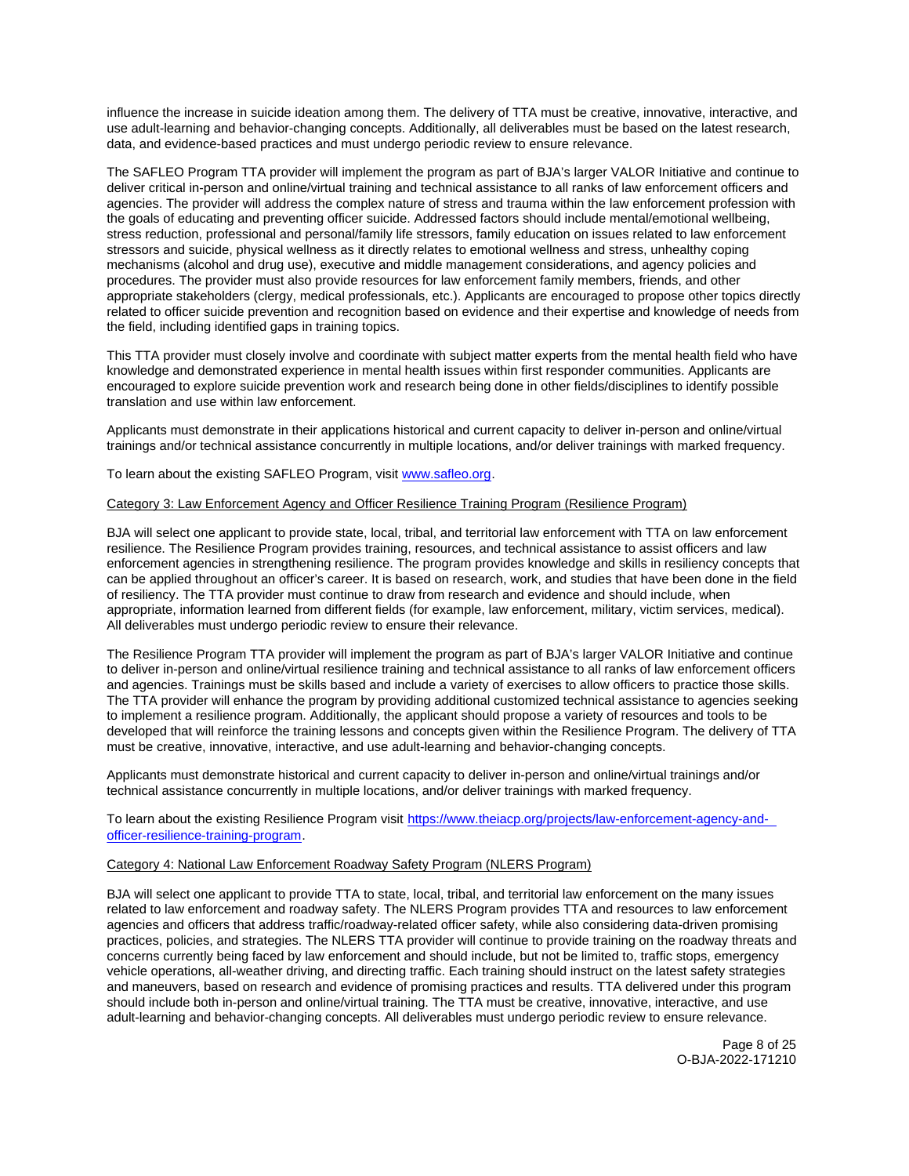influence the increase in suicide ideation among them. The delivery of TTA must be creative, innovative, interactive, and use adult-learning and behavior-changing concepts. Additionally, all deliverables must be based on the latest research, data, and evidence-based practices and must undergo periodic review to ensure relevance.

The SAFLEO Program TTA provider will implement the program as part of BJA's larger VALOR Initiative and continue to deliver critical in-person and online/virtual training and technical assistance to all ranks of law enforcement officers and agencies. The provider will address the complex nature of stress and trauma within the law enforcement profession with the goals of educating and preventing officer suicide. Addressed factors should include mental/emotional wellbeing, stress reduction, professional and personal/family life stressors, family education on issues related to law enforcement stressors and suicide, physical wellness as it directly relates to emotional wellness and stress, unhealthy coping mechanisms (alcohol and drug use), executive and middle management considerations, and agency policies and procedures. The provider must also provide resources for law enforcement family members, friends, and other appropriate stakeholders (clergy, medical professionals, etc.). Applicants are encouraged to propose other topics directly related to officer suicide prevention and recognition based on evidence and their expertise and knowledge of needs from the field, including identified gaps in training topics.

This TTA provider must closely involve and coordinate with subject matter experts from the mental health field who have knowledge and demonstrated experience in mental health issues within first responder communities. Applicants are encouraged to explore suicide prevention work and research being done in other fields/disciplines to identify possible translation and use within law enforcement.

Applicants must demonstrate in their applications historical and current capacity to deliver in-person and online/virtual trainings and/or technical assistance concurrently in multiple locations, and/or deliver trainings with marked frequency.

To learn about the existing SAFLEO Program, visit [www.safleo.org.](http://www.safleo.org)

## Category 3: Law Enforcement Agency and Officer Resilience Training Program (Resilience Program)

BJA will select one applicant to provide state, local, tribal, and territorial law enforcement with TTA on law enforcement resilience. The Resilience Program provides training, resources, and technical assistance to assist officers and law enforcement agencies in strengthening resilience. The program provides knowledge and skills in resiliency concepts that can be applied throughout an officer's career. It is based on research, work, and studies that have been done in the field of resiliency. The TTA provider must continue to draw from research and evidence and should include, when appropriate, information learned from different fields (for example, law enforcement, military, victim services, medical). All deliverables must undergo periodic review to ensure their relevance.

The Resilience Program TTA provider will implement the program as part of BJA's larger VALOR Initiative and continue to deliver in-person and online/virtual resilience training and technical assistance to all ranks of law enforcement officers and agencies. Trainings must be skills based and include a variety of exercises to allow officers to practice those skills. The TTA provider will enhance the program by providing additional customized technical assistance to agencies seeking to implement a resilience program. Additionally, the applicant should propose a variety of resources and tools to be developed that will reinforce the training lessons and concepts given within the Resilience Program. The delivery of TTA must be creative, innovative, interactive, and use adult-learning and behavior-changing concepts.

Applicants must demonstrate historical and current capacity to deliver in-person and online/virtual trainings and/or technical assistance concurrently in multiple locations, and/or deliver trainings with marked frequency.

To learn about the existing Resilience Program visit [https://www.theiacp.org/projects/law-enforcement-agency-and](https://www.theiacp.org/projects/law-enforcement-agency-and-officer-resilience-training-program)[officer-resilience-training-program.](https://www.theiacp.org/projects/law-enforcement-agency-and-officer-resilience-training-program)

## Category 4: National Law Enforcement Roadway Safety Program (NLERS Program)

BJA will select one applicant to provide TTA to state, local, tribal, and territorial law enforcement on the many issues related to law enforcement and roadway safety. The NLERS Program provides TTA and resources to law enforcement agencies and officers that address traffic/roadway-related officer safety, while also considering data-driven promising practices, policies, and strategies. The NLERS TTA provider will continue to provide training on the roadway threats and concerns currently being faced by law enforcement and should include, but not be limited to, traffic stops, emergency vehicle operations, all-weather driving, and directing traffic. Each training should instruct on the latest safety strategies and maneuvers, based on research and evidence of promising practices and results. TTA delivered under this program should include both in-person and online/virtual training. The TTA must be creative, innovative, interactive, and use adult-learning and behavior-changing concepts. All deliverables must undergo periodic review to ensure relevance.

> Page 8 of 25 O-BJA-2022-171210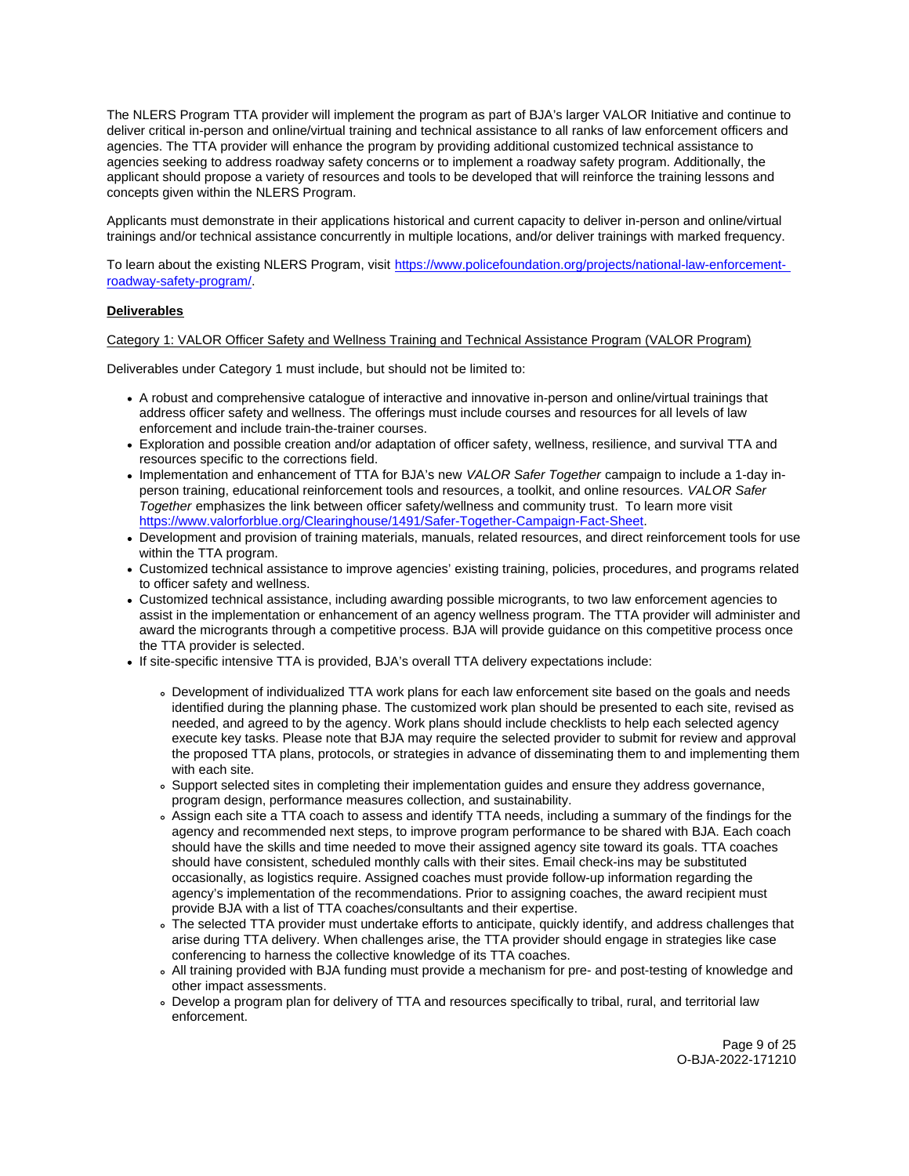The NLERS Program TTA provider will implement the program as part of BJA's larger VALOR Initiative and continue to deliver critical in-person and online/virtual training and technical assistance to all ranks of law enforcement officers and agencies. The TTA provider will enhance the program by providing additional customized technical assistance to agencies seeking to address roadway safety concerns or to implement a roadway safety program. Additionally, the applicant should propose a variety of resources and tools to be developed that will reinforce the training lessons and concepts given within the NLERS Program.

Applicants must demonstrate in their applications historical and current capacity to deliver in-person and online/virtual trainings and/or technical assistance concurrently in multiple locations, and/or deliver trainings with marked frequency.

To learn about the existing NLERS Program, visit [https://www.policefoundation.org/projects/national-law-enforcement](https://www.policefoundation.org/projects/national-law-enforcement-roadway-safety-program/)[roadway-safety-program/.](https://www.policefoundation.org/projects/national-law-enforcement-roadway-safety-program/)

# **Deliverables**

# Category 1: VALOR Officer Safety and Wellness Training and Technical Assistance Program (VALOR Program)

Deliverables under Category 1 must include, but should not be limited to:

- A robust and comprehensive catalogue of interactive and innovative in-person and online/virtual trainings that address officer safety and wellness. The offerings must include courses and resources for all levels of law enforcement and include train-the-trainer courses.
- Exploration and possible creation and/or adaptation of officer safety, wellness, resilience, and survival TTA and resources specific to the corrections field.
- Implementation and enhancement of TTA for BJA's new VALOR Safer Together campaign to include a 1-day inperson training, educational reinforcement tools and resources, a toolkit, and online resources. VALOR Safer Together emphasizes the link between officer safety/wellness and community trust. To learn more visit [https://www.valorforblue.org/Clearinghouse/1491/Safer-Together-Campaign-Fact-Sheet.](https://www.valorforblue.org/Clearinghouse/1491/Safer-Together-Campaign-Fact-Sheet)
- Development and provision of training materials, manuals, related resources, and direct reinforcement tools for use within the TTA program.
- Customized technical assistance to improve agencies' existing training, policies, procedures, and programs related to officer safety and wellness.
- Customized technical assistance, including awarding possible microgrants, to two law enforcement agencies to assist in the implementation or enhancement of an agency wellness program. The TTA provider will administer and award the microgrants through a competitive process. BJA will provide guidance on this competitive process once the TTA provider is selected.
- If site-specific intensive TTA is provided, BJA's overall TTA delivery expectations include:
	- Development of individualized TTA work plans for each law enforcement site based on the goals and needs identified during the planning phase. The customized work plan should be presented to each site, revised as needed, and agreed to by the agency. Work plans should include checklists to help each selected agency execute key tasks. Please note that BJA may require the selected provider to submit for review and approval the proposed TTA plans, protocols, or strategies in advance of disseminating them to and implementing them with each site.
	- Support selected sites in completing their implementation guides and ensure they address governance, program design, performance measures collection, and sustainability.
	- Assign each site a TTA coach to assess and identify TTA needs, including a summary of the findings for the agency and recommended next steps, to improve program performance to be shared with BJA. Each coach should have the skills and time needed to move their assigned agency site toward its goals. TTA coaches should have consistent, scheduled monthly calls with their sites. Email check-ins may be substituted occasionally, as logistics require. Assigned coaches must provide follow-up information regarding the agency's implementation of the recommendations. Prior to assigning coaches, the award recipient must provide BJA with a list of TTA coaches/consultants and their expertise.
	- The selected TTA provider must undertake efforts to anticipate, quickly identify, and address challenges that arise during TTA delivery. When challenges arise, the TTA provider should engage in strategies like case conferencing to harness the collective knowledge of its TTA coaches.
	- All training provided with BJA funding must provide a mechanism for pre- and post-testing of knowledge and other impact assessments.
	- Develop a program plan for delivery of TTA and resources specifically to tribal, rural, and territorial law enforcement.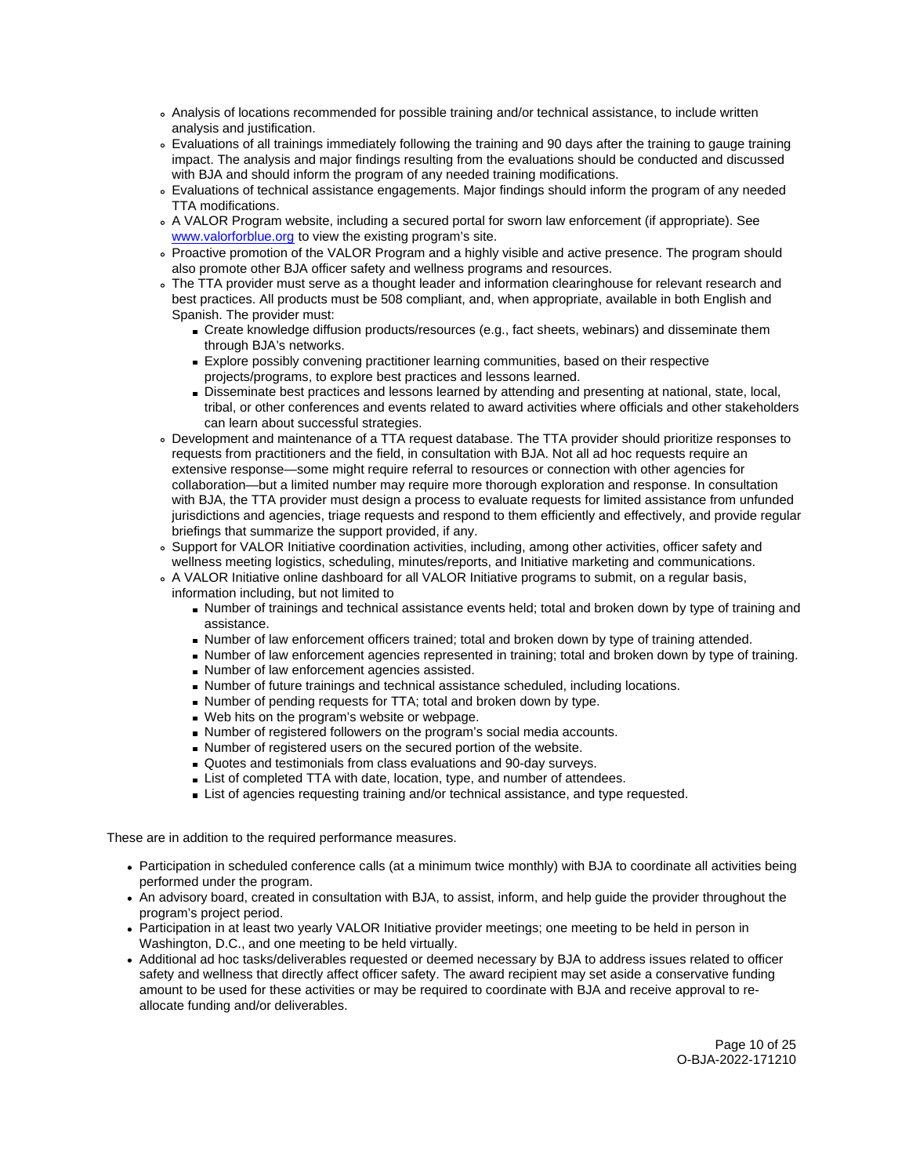- Analysis of locations recommended for possible training and/or technical assistance, to include written analysis and justification.
- Evaluations of all trainings immediately following the training and 90 days after the training to gauge training impact. The analysis and major findings resulting from the evaluations should be conducted and discussed with BJA and should inform the program of any needed training modifications.
- Evaluations of technical assistance engagements. Major findings should inform the program of any needed TTA modifications.
- A VALOR Program website, including a secured portal for sworn law enforcement (if appropriate). See [www.valorforblue.org](http://www.valorforblue.org) to view the existing program's site.
- Proactive promotion of the VALOR Program and a highly visible and active presence. The program should also promote other BJA officer safety and wellness programs and resources.
- The TTA provider must serve as a thought leader and information clearinghouse for relevant research and best practices. All products must be 508 compliant, and, when appropriate, available in both English and Spanish. The provider must:
	- Create knowledge diffusion products/resources (e.g., fact sheets, webinars) and disseminate them through BJA's networks.
	- Explore possibly convening practitioner learning communities, based on their respective projects/programs, to explore best practices and lessons learned.
	- Disseminate best practices and lessons learned by attending and presenting at national, state, local, tribal, or other conferences and events related to award activities where officials and other stakeholders can learn about successful strategies.
- Development and maintenance of a TTA request database. The TTA provider should prioritize responses to requests from practitioners and the field, in consultation with BJA. Not all ad hoc requests require an extensive response—some might require referral to resources or connection with other agencies for collaboration—but a limited number may require more thorough exploration and response. In consultation with BJA, the TTA provider must design a process to evaluate requests for limited assistance from unfunded jurisdictions and agencies, triage requests and respond to them efficiently and effectively, and provide regular briefings that summarize the support provided, if any.
- Support for VALOR Initiative coordination activities, including, among other activities, officer safety and wellness meeting logistics, scheduling, minutes/reports, and Initiative marketing and communications.
- A VALOR Initiative online dashboard for all VALOR Initiative programs to submit, on a regular basis, information including, but not limited to
	- Number of trainings and technical assistance events held; total and broken down by type of training and assistance.
	- Number of law enforcement officers trained; total and broken down by type of training attended.
	- Number of law enforcement agencies represented in training; total and broken down by type of training.
	- Number of law enforcement agencies assisted.
	- Number of future trainings and technical assistance scheduled, including locations.
	- Number of pending requests for TTA; total and broken down by type.
	- Web hits on the program's website or webpage.
	- Number of registered followers on the program's social media accounts.
	- Number of registered users on the secured portion of the website.
	- Quotes and testimonials from class evaluations and 90-day surveys.
	- **List of completed TTA with date, location, type, and number of attendees.**
	- **List of agencies requesting training and/or technical assistance, and type requested.**

- Participation in scheduled conference calls (at a minimum twice monthly) with BJA to coordinate all activities being performed under the program.
- An advisory board, created in consultation with BJA, to assist, inform, and help guide the provider throughout the program's project period.
- Participation in at least two yearly VALOR Initiative provider meetings; one meeting to be held in person in Washington, D.C., and one meeting to be held virtually.
- Additional ad hoc tasks/deliverables requested or deemed necessary by BJA to address issues related to officer safety and wellness that directly affect officer safety. The award recipient may set aside a conservative funding amount to be used for these activities or may be required to coordinate with BJA and receive approval to reallocate funding and/or deliverables.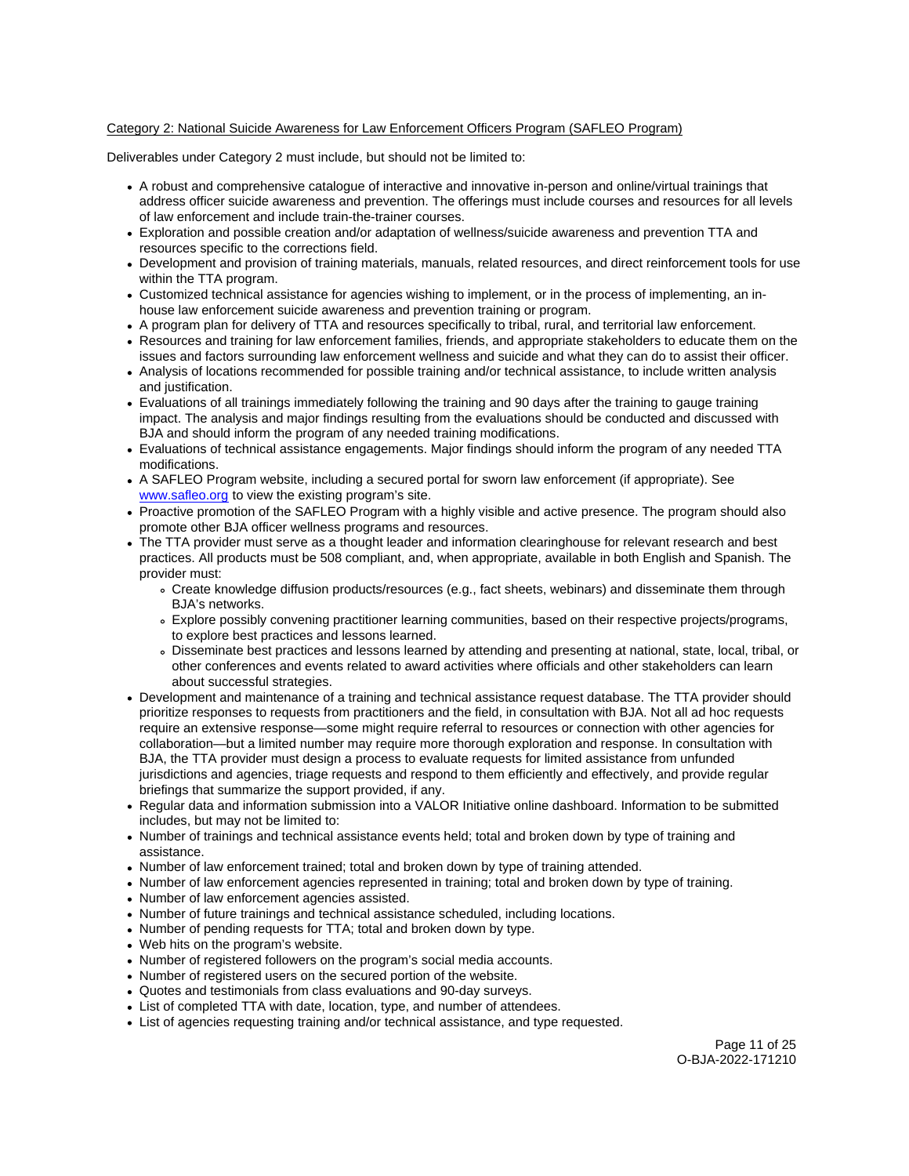# Category 2: National Suicide Awareness for Law Enforcement Officers Program (SAFLEO Program)

Deliverables under Category 2 must include, but should not be limited to:

- A robust and comprehensive catalogue of interactive and innovative in-person and online/virtual trainings that address officer suicide awareness and prevention. The offerings must include courses and resources for all levels of law enforcement and include train-the-trainer courses.
- Exploration and possible creation and/or adaptation of wellness/suicide awareness and prevention TTA and resources specific to the corrections field.
- Development and provision of training materials, manuals, related resources, and direct reinforcement tools for use within the TTA program.
- Customized technical assistance for agencies wishing to implement, or in the process of implementing, an inhouse law enforcement suicide awareness and prevention training or program.
- A program plan for delivery of TTA and resources specifically to tribal, rural, and territorial law enforcement.
- Resources and training for law enforcement families, friends, and appropriate stakeholders to educate them on the issues and factors surrounding law enforcement wellness and suicide and what they can do to assist their officer.
- Analysis of locations recommended for possible training and/or technical assistance, to include written analysis and justification.
- Evaluations of all trainings immediately following the training and 90 days after the training to gauge training impact. The analysis and major findings resulting from the evaluations should be conducted and discussed with BJA and should inform the program of any needed training modifications.
- Evaluations of technical assistance engagements. Major findings should inform the program of any needed TTA modifications.
- A SAFLEO Program website, including a secured portal for sworn law enforcement (if appropriate). See [www.safleo.org](http://www.safleo.org) to view the existing program's site.
- Proactive promotion of the SAFLEO Program with a highly visible and active presence. The program should also promote other BJA officer wellness programs and resources.
- The TTA provider must serve as a thought leader and information clearinghouse for relevant research and best practices. All products must be 508 compliant, and, when appropriate, available in both English and Spanish. The provider must:
	- Create knowledge diffusion products/resources (e.g., fact sheets, webinars) and disseminate them through BJA's networks.
	- Explore possibly convening practitioner learning communities, based on their respective projects/programs, to explore best practices and lessons learned.
	- Disseminate best practices and lessons learned by attending and presenting at national, state, local, tribal, or other conferences and events related to award activities where officials and other stakeholders can learn about successful strategies.
- Development and maintenance of a training and technical assistance request database. The TTA provider should prioritize responses to requests from practitioners and the field, in consultation with BJA. Not all ad hoc requests require an extensive response—some might require referral to resources or connection with other agencies for collaboration—but a limited number may require more thorough exploration and response. In consultation with BJA, the TTA provider must design a process to evaluate requests for limited assistance from unfunded jurisdictions and agencies, triage requests and respond to them efficiently and effectively, and provide regular briefings that summarize the support provided, if any.
- Regular data and information submission into a VALOR Initiative online dashboard. Information to be submitted includes, but may not be limited to:
- Number of trainings and technical assistance events held; total and broken down by type of training and assistance.
- Number of law enforcement trained; total and broken down by type of training attended.
- Number of law enforcement agencies represented in training; total and broken down by type of training.
- Number of law enforcement agencies assisted.
- Number of future trainings and technical assistance scheduled, including locations.
- Number of pending requests for TTA; total and broken down by type.
- Web hits on the program's website.
- Number of registered followers on the program's social media accounts.
- Number of registered users on the secured portion of the website.
- Quotes and testimonials from class evaluations and 90-day surveys.
- List of completed TTA with date, location, type, and number of attendees.
- List of agencies requesting training and/or technical assistance, and type requested.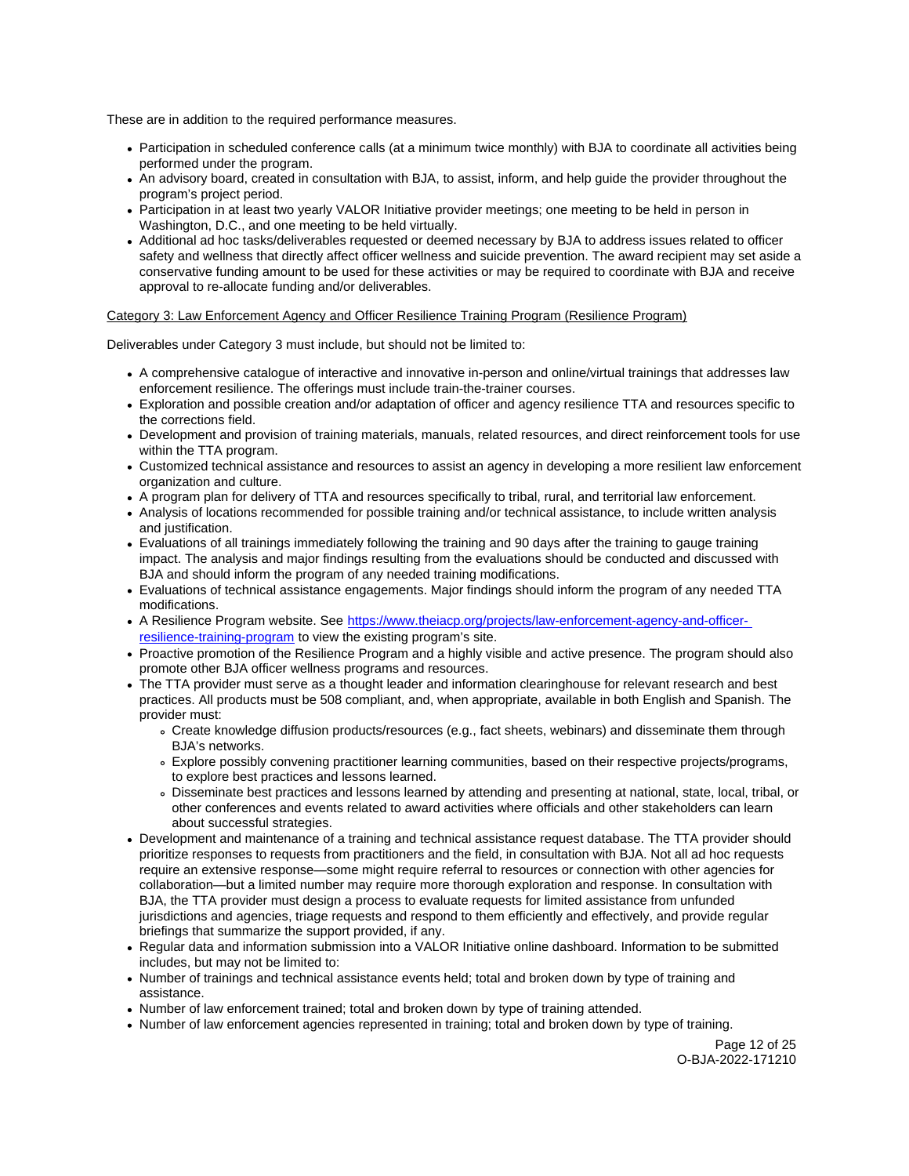- Participation in scheduled conference calls (at a minimum twice monthly) with BJA to coordinate all activities being performed under the program.
- An advisory board, created in consultation with BJA, to assist, inform, and help guide the provider throughout the program's project period.
- Participation in at least two yearly VALOR Initiative provider meetings; one meeting to be held in person in Washington, D.C., and one meeting to be held virtually.
- Additional ad hoc tasks/deliverables requested or deemed necessary by BJA to address issues related to officer safety and wellness that directly affect officer wellness and suicide prevention. The award recipient may set aside a conservative funding amount to be used for these activities or may be required to coordinate with BJA and receive approval to re-allocate funding and/or deliverables.

# Category 3: Law Enforcement Agency and Officer Resilience Training Program (Resilience Program)

Deliverables under Category 3 must include, but should not be limited to:

- A comprehensive catalogue of interactive and innovative in-person and online/virtual trainings that addresses law enforcement resilience. The offerings must include train-the-trainer courses.
- Exploration and possible creation and/or adaptation of officer and agency resilience TTA and resources specific to the corrections field.
- Development and provision of training materials, manuals, related resources, and direct reinforcement tools for use within the TTA program.
- Customized technical assistance and resources to assist an agency in developing a more resilient law enforcement organization and culture.
- A program plan for delivery of TTA and resources specifically to tribal, rural, and territorial law enforcement.
- Analysis of locations recommended for possible training and/or technical assistance, to include written analysis and justification.
- Evaluations of all trainings immediately following the training and 90 days after the training to gauge training impact. The analysis and major findings resulting from the evaluations should be conducted and discussed with BJA and should inform the program of any needed training modifications.
- Evaluations of technical assistance engagements. Major findings should inform the program of any needed TTA modifications.
- A Resilience Program website. See [https://www.theiacp.org/projects/law-enforcement-agency-and-officer](https://www.theiacp.org/projects/law-enforcement-agency-and-officer-resilience-training-program)[resilience-training-program](https://www.theiacp.org/projects/law-enforcement-agency-and-officer-resilience-training-program) to view the existing program's site.
- Proactive promotion of the Resilience Program and a highly visible and active presence. The program should also promote other BJA officer wellness programs and resources.
- The TTA provider must serve as a thought leader and information clearinghouse for relevant research and best practices. All products must be 508 compliant, and, when appropriate, available in both English and Spanish. The provider must:
	- Create knowledge diffusion products/resources (e.g., fact sheets, webinars) and disseminate them through BJA's networks.
	- Explore possibly convening practitioner learning communities, based on their respective projects/programs, to explore best practices and lessons learned.
	- Disseminate best practices and lessons learned by attending and presenting at national, state, local, tribal, or other conferences and events related to award activities where officials and other stakeholders can learn about successful strategies.
- Development and maintenance of a training and technical assistance request database. The TTA provider should prioritize responses to requests from practitioners and the field, in consultation with BJA. Not all ad hoc requests require an extensive response—some might require referral to resources or connection with other agencies for collaboration—but a limited number may require more thorough exploration and response. In consultation with BJA, the TTA provider must design a process to evaluate requests for limited assistance from unfunded jurisdictions and agencies, triage requests and respond to them efficiently and effectively, and provide regular briefings that summarize the support provided, if any.
- Regular data and information submission into a VALOR Initiative online dashboard. Information to be submitted includes, but may not be limited to:
- Number of trainings and technical assistance events held; total and broken down by type of training and assistance.
- Number of law enforcement trained; total and broken down by type of training attended.
- Number of law enforcement agencies represented in training; total and broken down by type of training.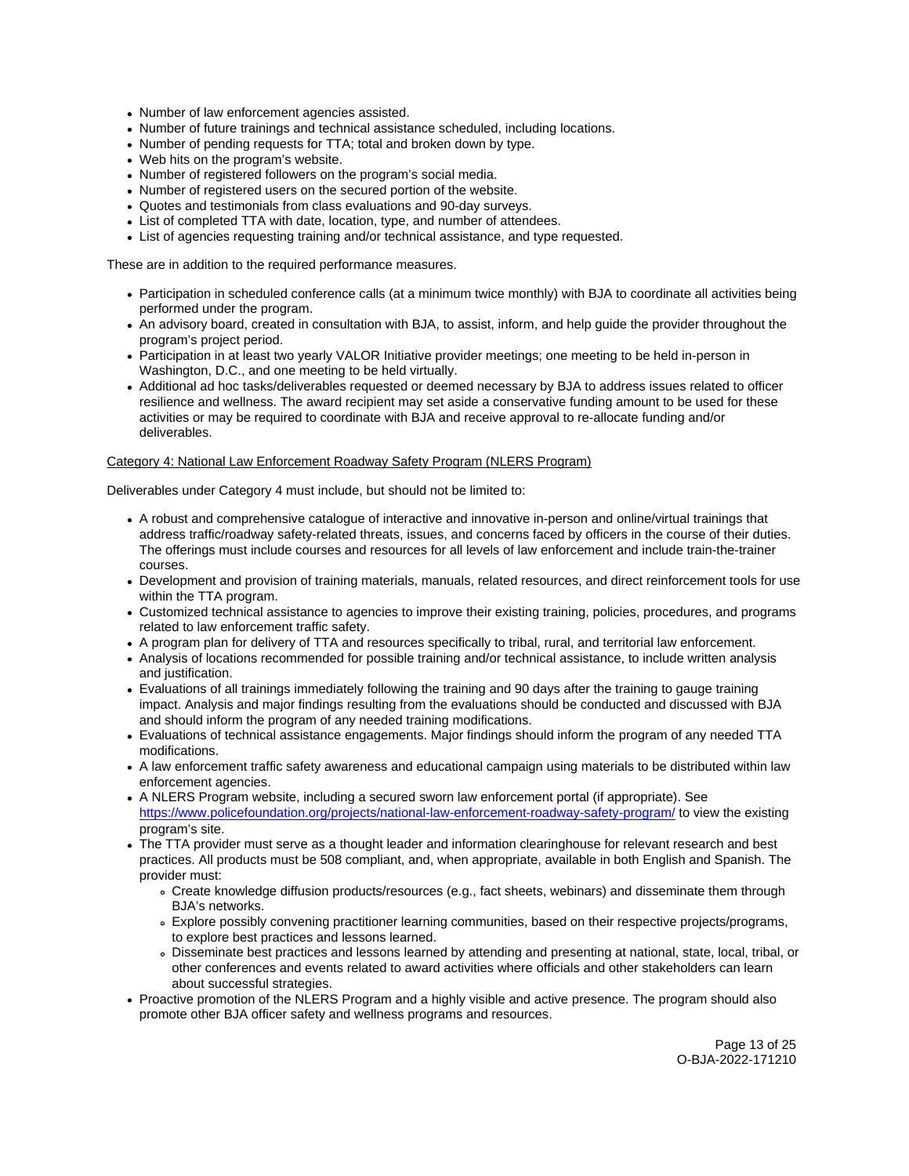- Number of law enforcement agencies assisted.
- Number of future trainings and technical assistance scheduled, including locations.
- Number of pending requests for TTA; total and broken down by type.
- Web hits on the program's website.
- Number of registered followers on the program's social media.
- Number of registered users on the secured portion of the website.
- Quotes and testimonials from class evaluations and 90-day surveys.
- List of completed TTA with date, location, type, and number of attendees.
- List of agencies requesting training and/or technical assistance, and type requested.

- Participation in scheduled conference calls (at a minimum twice monthly) with BJA to coordinate all activities being performed under the program.
- An advisory board, created in consultation with BJA, to assist, inform, and help guide the provider throughout the program's project period.
- Participation in at least two yearly VALOR Initiative provider meetings; one meeting to be held in-person in Washington, D.C., and one meeting to be held virtually.
- Additional ad hoc tasks/deliverables requested or deemed necessary by BJA to address issues related to officer resilience and wellness. The award recipient may set aside a conservative funding amount to be used for these activities or may be required to coordinate with BJA and receive approval to re-allocate funding and/or deliverables.

# Category 4: National Law Enforcement Roadway Safety Program (NLERS Program)

Deliverables under Category 4 must include, but should not be limited to:

- A robust and comprehensive catalogue of interactive and innovative in-person and online/virtual trainings that address traffic/roadway safety-related threats, issues, and concerns faced by officers in the course of their duties. The offerings must include courses and resources for all levels of law enforcement and include train-the-trainer courses.
- Development and provision of training materials, manuals, related resources, and direct reinforcement tools for use within the TTA program.
- Customized technical assistance to agencies to improve their existing training, policies, procedures, and programs related to law enforcement traffic safety.
- A program plan for delivery of TTA and resources specifically to tribal, rural, and territorial law enforcement.
- Analysis of locations recommended for possible training and/or technical assistance, to include written analysis and justification.
- Evaluations of all trainings immediately following the training and 90 days after the training to gauge training impact. Analysis and major findings resulting from the evaluations should be conducted and discussed with BJA and should inform the program of any needed training modifications.
- Evaluations of technical assistance engagements. Major findings should inform the program of any needed TTA modifications.
- A law enforcement traffic safety awareness and educational campaign using materials to be distributed within law enforcement agencies.
- A NLERS Program website, including a secured sworn law enforcement portal (if appropriate). See <https://www.policefoundation.org/projects/national-law-enforcement-roadway-safety-program/>to view the existing program's site.
- The TTA provider must serve as a thought leader and information clearinghouse for relevant research and best practices. All products must be 508 compliant, and, when appropriate, available in both English and Spanish. The provider must:
	- Create knowledge diffusion products/resources (e.g., fact sheets, webinars) and disseminate them through BJA's networks.
	- Explore possibly convening practitioner learning communities, based on their respective projects/programs, to explore best practices and lessons learned.
	- Disseminate best practices and lessons learned by attending and presenting at national, state, local, tribal, or other conferences and events related to award activities where officials and other stakeholders can learn about successful strategies.
- Proactive promotion of the NLERS Program and a highly visible and active presence. The program should also promote other BJA officer safety and wellness programs and resources.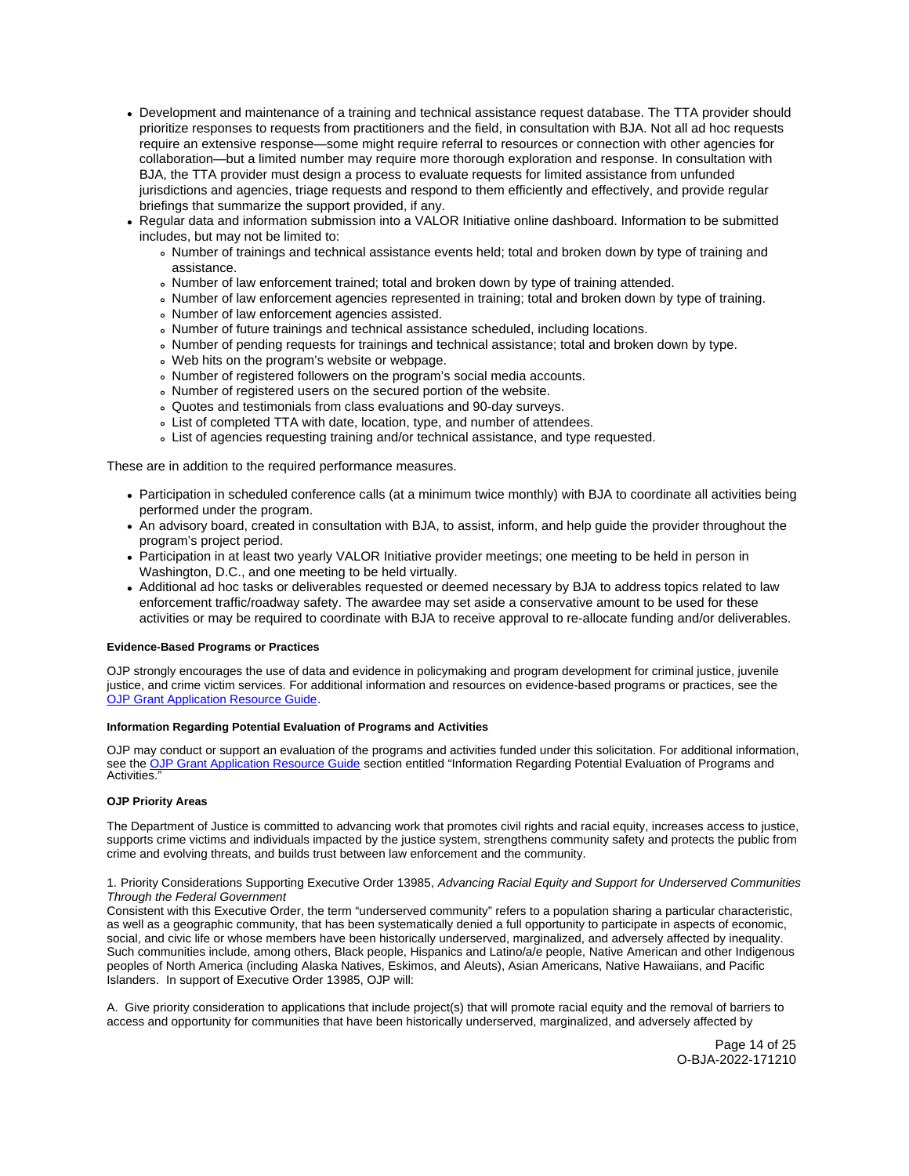- <span id="page-13-0"></span>Development and maintenance of a training and technical assistance request database. The TTA provider should prioritize responses to requests from practitioners and the field, in consultation with BJA. Not all ad hoc requests require an extensive response—some might require referral to resources or connection with other agencies for collaboration—but a limited number may require more thorough exploration and response. In consultation with BJA, the TTA provider must design a process to evaluate requests for limited assistance from unfunded jurisdictions and agencies, triage requests and respond to them efficiently and effectively, and provide regular briefings that summarize the support provided, if any.
- Regular data and information submission into a VALOR Initiative online dashboard. Information to be submitted includes, but may not be limited to:
	- Number of trainings and technical assistance events held; total and broken down by type of training and assistance.
	- . Number of law enforcement trained; total and broken down by type of training attended.
	- Number of law enforcement agencies represented in training; total and broken down by type of training.
	- Number of law enforcement agencies assisted.
	- Number of future trainings and technical assistance scheduled, including locations.
	- Number of pending requests for trainings and technical assistance; total and broken down by type.
	- Web hits on the program's website or webpage.
	- Number of registered followers on the program's social media accounts.
	- Number of registered users on the secured portion of the website.
	- Quotes and testimonials from class evaluations and 90-day surveys.
	- List of completed TTA with date, location, type, and number of attendees.
	- List of agencies requesting training and/or technical assistance, and type requested.

- Participation in scheduled conference calls (at a minimum twice monthly) with BJA to coordinate all activities being performed under the program.
- An advisory board, created in consultation with BJA, to assist, inform, and help guide the provider throughout the program's project period.
- Participation in at least two yearly VALOR Initiative provider meetings; one meeting to be held in person in Washington, D.C., and one meeting to be held virtually.
- Additional ad hoc tasks or deliverables requested or deemed necessary by BJA to address topics related to law enforcement traffic/roadway safety. The awardee may set aside a conservative amount to be used for these activities or may be required to coordinate with BJA to receive approval to re-allocate funding and/or deliverables.

## **Evidence-Based Programs or Practices**

OJP strongly encourages the use of data and evidence in policymaking and program development for criminal justice, juvenile justice, and crime victim services. For additional information and resources on evidence-based programs or practices, see the [OJP Grant Application Resource Guide.](https://www.ojp.gov/funding/apply/ojp-grant-application-resource-guide#evidence-based)

## **Information Regarding Potential Evaluation of Programs and Activities**

OJP may conduct or support an evaluation of the programs and activities funded under this solicitation. For additional information, see the [OJP Grant Application Resource Guide](https://www.ojp.gov/funding/apply/ojp-grant-application-resource-guide#potential-evaluation) section entitled "Information Regarding Potential Evaluation of Programs and Activities."

## **OJP Priority Areas**

The Department of Justice is committed to advancing work that promotes civil rights and racial equity, increases access to justice, supports crime victims and individuals impacted by the justice system, strengthens community safety and protects the public from crime and evolving threats, and builds trust between law enforcement and the community.

## 1. Priority Considerations Supporting Executive Order 13985, Advancing Racial Equity and Support for Underserved Communities Through the Federal Government

Consistent with this Executive Order, the term "underserved community" refers to a population sharing a particular characteristic, as well as a geographic community, that has been systematically denied a full opportunity to participate in aspects of economic, social, and civic life or whose members have been historically underserved, marginalized, and adversely affected by inequality. Such communities include, among others, Black people, Hispanics and Latino/a/e people, Native American and other Indigenous peoples of North America (including Alaska Natives, Eskimos, and Aleuts), Asian Americans, Native Hawaiians, and Pacific Islanders. In support of Executive Order 13985, OJP will:

A. Give priority consideration to applications that include project(s) that will promote racial equity and the removal of barriers to access and opportunity for communities that have been historically underserved, marginalized, and adversely affected by

> Page 14 of 25 O-BJA-2022-171210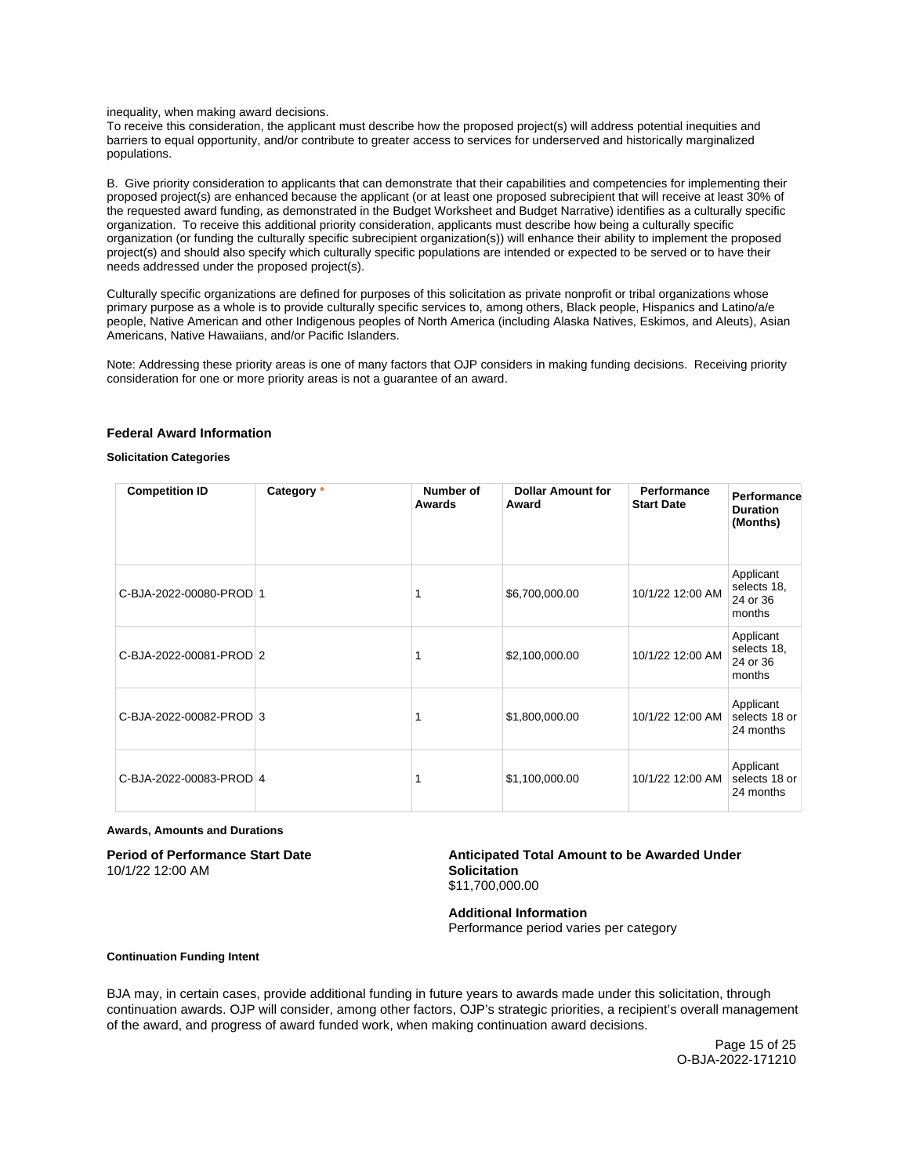<span id="page-14-0"></span>inequality, when making award decisions.

To receive this consideration, the applicant must describe how the proposed project(s) will address potential inequities and barriers to equal opportunity, and/or contribute to greater access to services for underserved and historically marginalized populations.

B. Give priority consideration to applicants that can demonstrate that their capabilities and competencies for implementing their proposed project(s) are enhanced because the applicant (or at least one proposed subrecipient that will receive at least 30% of the requested award funding, as demonstrated in the Budget Worksheet and Budget Narrative) identifies as a culturally specific organization. To receive this additional priority consideration, applicants must describe how being a culturally specific organization (or funding the culturally specific subrecipient organization(s)) will enhance their ability to implement the proposed project(s) and should also specify which culturally specific populations are intended or expected to be served or to have their needs addressed under the proposed project(s).

Culturally specific organizations are defined for purposes of this solicitation as private nonprofit or tribal organizations whose primary purpose as a whole is to provide culturally specific services to, among others, Black people, Hispanics and Latino/a/e people, Native American and other Indigenous peoples of North America (including Alaska Natives, Eskimos, and Aleuts), Asian Americans, Native Hawaiians, and/or Pacific Islanders.

Note: Addressing these priority areas is one of many factors that OJP considers in making funding decisions. Receiving priority consideration for one or more priority areas is not a guarantee of an award.

# **Federal Award Information**

## **Solicitation Categories**

| <b>Competition ID</b>   | Category * | Number of<br>Awards | <b>Dollar Amount for</b><br>Award | Performance<br><b>Start Date</b> | Performance<br><b>Duration</b><br>(Months)     |
|-------------------------|------------|---------------------|-----------------------------------|----------------------------------|------------------------------------------------|
| C-BJA-2022-00080-PROD 1 |            |                     | \$6,700,000.00                    | 10/1/22 12:00 AM                 | Applicant<br>selects 18,<br>24 or 36<br>months |
| C-BJA-2022-00081-PROD 2 |            |                     | \$2,100,000.00                    | 10/1/22 12:00 AM                 | Applicant<br>selects 18,<br>24 or 36<br>months |
| C-BJA-2022-00082-PROD 3 |            |                     | \$1,800,000.00                    | 10/1/22 12:00 AM                 | Applicant<br>selects 18 or<br>24 months        |
| C-BJA-2022-00083-PROD 4 |            |                     | \$1,100,000.00                    | 10/1/22 12:00 AM                 | Applicant<br>selects 18 or<br>24 months        |

#### **Awards, Amounts and Durations**

10/1/22 12:00 AM **Solicitation** 

Period of Performance Start Date **Anticipated Total Amount to be Awarded Under** \$11,700,000.00

> **Additional Information**  Performance period varies per category

## **Continuation Funding Intent**

BJA may, in certain cases, provide additional funding in future years to awards made under this solicitation, through continuation awards. OJP will consider, among other factors, OJP's strategic priorities, a recipient's overall management of the award, and progress of award funded work, when making continuation award decisions.

> Page 15 of 25 O-BJA-2022-171210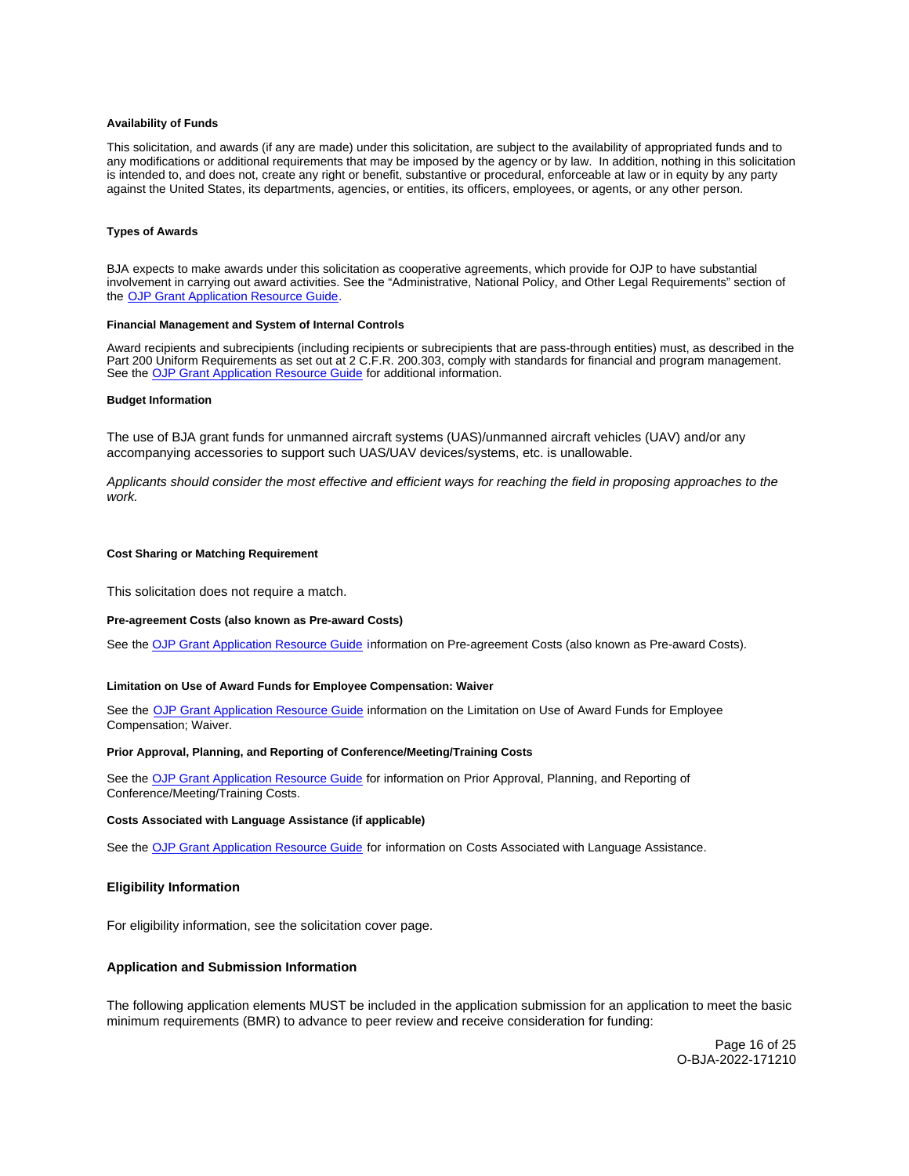#### <span id="page-15-0"></span>**Availability of Funds**

This solicitation, and awards (if any are made) under this solicitation, are subject to the availability of appropriated funds and to any modifications or additional requirements that may be imposed by the agency or by law. In addition, nothing in this solicitation is intended to, and does not, create any right or benefit, substantive or procedural, enforceable at law or in equity by any party against the United States, its departments, agencies, or entities, its officers, employees, or agents, or any other person.

#### **Types of Awards**

BJA expects to make awards under this solicitation as cooperative agreements, which provide for OJP to have substantial involvement in carrying out award activities. See the "Administrative, National Policy, and Other Legal Requirements" section of the [OJP Grant Application Resource Guide.](https://www.ojp.gov/funding/apply/ojp-grant-application-resource-guide#administrative)

## **Financial Management and System of Internal Controls**

Award recipients and subrecipients (including recipients or subrecipients that are pass-through entities) must, as described in the Part 200 Uniform Requirements as set out at 2 C.F.R. 200.303, comply with standards for financial and program management. See the [OJP Grant Application Resource Guide](https://www.ojp.gov/funding/apply/ojp-grant-application-resource-guide#fm-internal-controls) for additional information.

#### **Budget Information**

The use of BJA grant funds for unmanned aircraft systems (UAS)/unmanned aircraft vehicles (UAV) and/or any accompanying accessories to support such UAS/UAV devices/systems, etc. is unallowable.

Applicants should consider the most effective and efficient ways for reaching the field in proposing approaches to the work.

#### **Cost Sharing or Matching Requirement**

This solicitation does not require a match.

#### **Pre-agreement Costs (also known as Pre-award Costs)**

See the [OJP Grant Application Resource Guide](https://www.ojp.gov/funding/apply/ojp-grant-application-resource-guide#pre-agreement-costs) information on Pre-agreement Costs (also known as Pre-award Costs).

#### **Limitation on Use of Award Funds for Employee Compensation: Waiver**

See the [OJP Grant Application Resource Guide](https://www.ojp.gov/funding/apply/ojp-grant-application-resource-guide#limitation-use-award) information on the Limitation on Use of Award Funds for Employee Compensation; Waiver.

## **Prior Approval, Planning, and Reporting of Conference/Meeting/Training Costs**

See the [OJP Grant Application Resource Guide](https://www.ojp.gov/funding/apply/ojp-grant-application-resource-guide#prior-approval) for information on Prior Approval, Planning, and Reporting of Conference/Meeting/Training Costs.

#### **Costs Associated with Language Assistance (if applicable)**

See the [OJP Grant Application Resource Guide](https://www.ojp.gov/funding/apply/ojp-grant-application-resource-guide#costs-associated) for information on Costs Associated with Language Assistance.

## **Eligibility Information**

For eligibility information, see the solicitation cover page.

## **Application and Submission Information**

The following application elements MUST be included in the application submission for an application to meet the basic minimum requirements (BMR) to advance to peer review and receive consideration for funding:

> Page 16 of 25 O-BJA-2022-171210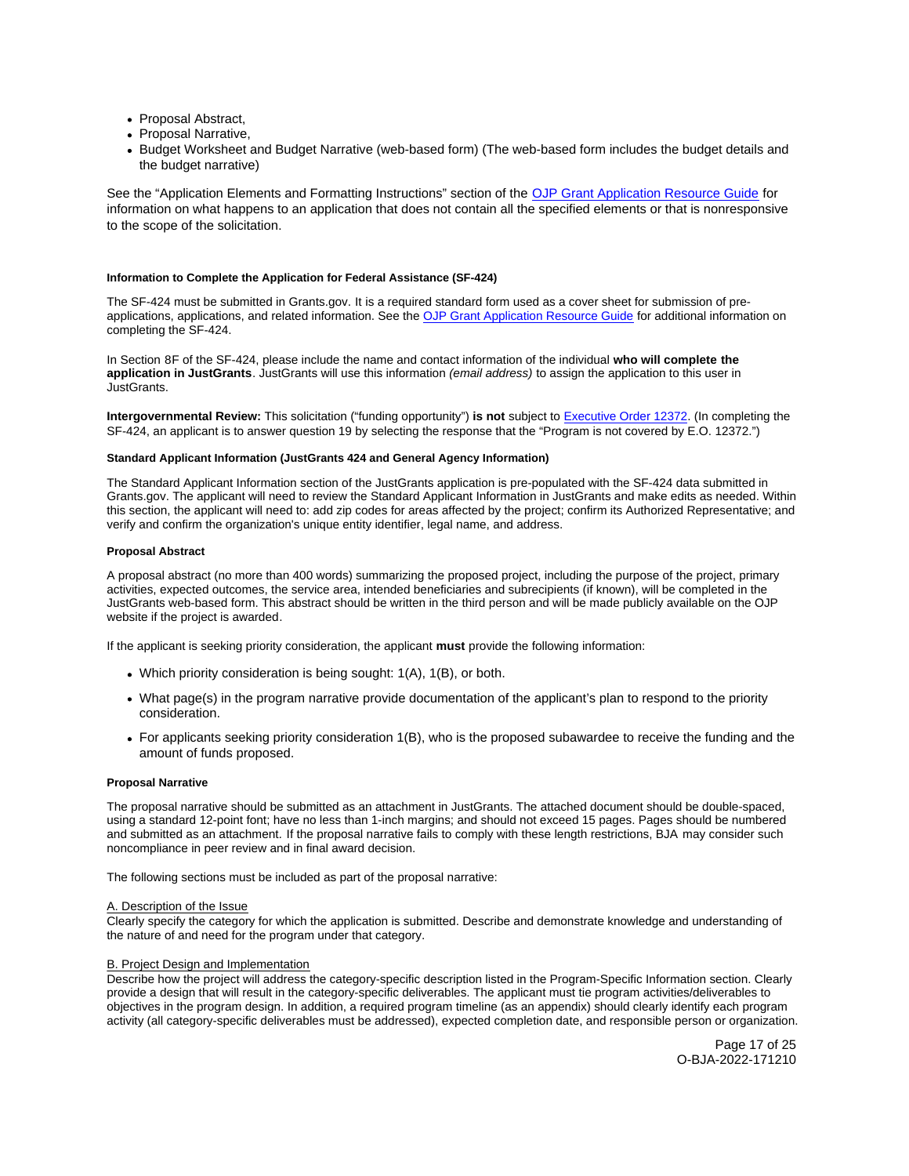- <span id="page-16-0"></span>• Proposal Abstract,
- Proposal Narrative.
- Budget Worksheet and Budget Narrative (web-based form) (The web-based form includes the budget details and the budget narrative)

See the "Application Elements and Formatting Instructions" section of the [OJP Grant Application Resource Guide](https://www.ojp.gov/funding/apply/ojp-grant-application-resource-guide#application-elements) for information on what happens to an application that does not contain all the specified elements or that is nonresponsive to the scope of the solicitation.

## **Information to Complete the Application for Federal Assistance (SF-424)**

The SF-424 must be submitted in [Grants.gov](https://Grants.gov). It is a required standard form used as a cover sheet for submission of preapplications, applications, and related information. See the [OJP Grant Application Resource Guide](https://www.ojp.gov/funding/apply/ojp-grant-application-resource-guide#complete-application) for additional information on completing the SF-424.

In Section 8F of the SF-424, please include the name and contact information of the individual **who will complete the application in JustGrants**. JustGrants will use this information (email address) to assign the application to this user in JustGrants.

**Intergovernmental Review:** This solicitation ("funding opportunity") **is not** subject to [Executive Order 12372.](https://www.archives.gov/federal-register/codification/executive-order/12372.html) (In completing the SF-424, an applicant is to answer question 19 by selecting the response that the "Program is not covered by E.O. 12372.")

## **Standard Applicant Information (JustGrants 424 and General Agency Information)**

The Standard Applicant Information section of the JustGrants application is pre-populated with the SF-424 data submitted in [Grants.gov.](https://Grants.gov) The applicant will need to review the Standard Applicant Information in JustGrants and make edits as needed. Within this section, the applicant will need to: add zip codes for areas affected by the project; confirm its Authorized Representative; and verify and confirm the organization's unique entity identifier, legal name, and address.

## **Proposal Abstract**

A proposal abstract (no more than 400 words) summarizing the proposed project, including the purpose of the project, primary activities, expected outcomes, the service area, intended beneficiaries and subrecipients (if known), will be completed in the JustGrants web-based form. This abstract should be written in the third person and will be made publicly available on the OJP website if the project is awarded.

If the applicant is seeking priority consideration, the applicant **must** provide the following information:

- Which priority consideration is being sought: 1(A), 1(B), or both.
- What page(s) in the program narrative provide documentation of the applicant's plan to respond to the priority consideration.
- For applicants seeking priority consideration 1(B), who is the proposed subawardee to receive the funding and the amount of funds proposed.

# **Proposal Narrative**

The proposal narrative should be submitted as an attachment in JustGrants. The attached document should be double-spaced, using a standard 12-point font; have no less than 1-inch margins; and should not exceed 15 pages. Pages should be numbered and submitted as an attachment. If the proposal narrative fails to comply with these length restrictions, BJA may consider such noncompliance in peer review and in final award decision.

The following sections must be included as part of the proposal narrative:

# A. Description of the Issue

Clearly specify the category for which the application is submitted. Describe and demonstrate knowledge and understanding of the nature of and need for the program under that category.

## **B. Project Design and Implementation**

Describe how the project will address the category-specific description listed in the Program-Specific Information section. Clearly provide a design that will result in the category-specific deliverables. The applicant must tie program activities/deliverables to objectives in the program design. In addition, a required program timeline (as an appendix) should clearly identify each program activity (all category-specific deliverables must be addressed), expected completion date, and responsible person or organization.

> Page 17 of 25 O-BJA-2022-171210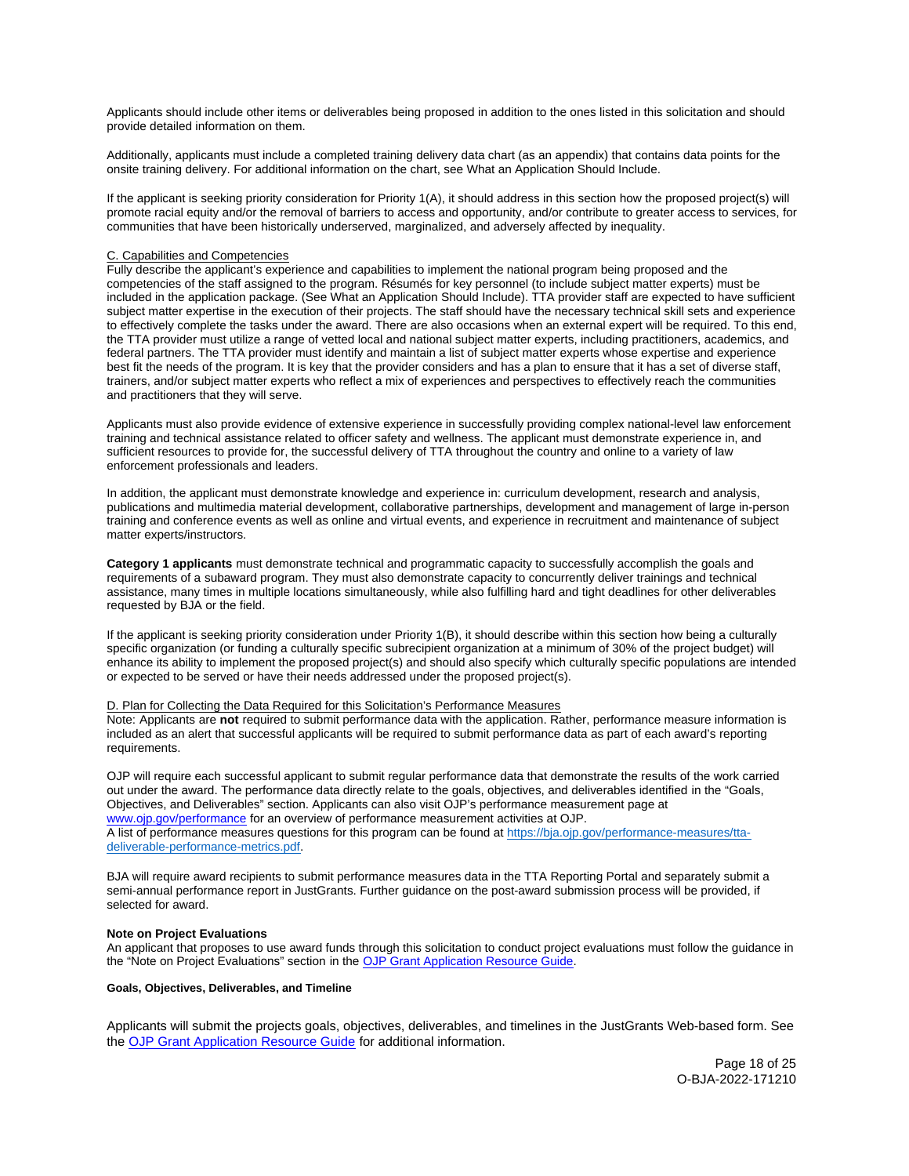<span id="page-17-0"></span>Applicants should include other items or deliverables being proposed in addition to the ones listed in this solicitation and should provide detailed information on them.

Additionally, applicants must include a completed training delivery data chart (as an appendix) that contains data points for the onsite training delivery. For additional information on the chart, see What an Application Should Include.

If the applicant is seeking priority consideration for Priority 1(A), it should address in this section how the proposed project(s) will promote racial equity and/or the removal of barriers to access and opportunity, and/or contribute to greater access to services, for communities that have been historically underserved, marginalized, and adversely affected by inequality.

## C. Capabilities and Competencies

Fully describe the applicant's experience and capabilities to implement the national program being proposed and the competencies of the staff assigned to the program. Résumés for key personnel (to include subject matter experts) must be included in the application package. (See What an Application Should Include). TTA provider staff are expected to have sufficient subject matter expertise in the execution of their projects. The staff should have the necessary technical skill sets and experience to effectively complete the tasks under the award. There are also occasions when an external expert will be required. To this end, the TTA provider must utilize a range of vetted local and national subject matter experts, including practitioners, academics, and federal partners. The TTA provider must identify and maintain a list of subject matter experts whose expertise and experience best fit the needs of the program. It is key that the provider considers and has a plan to ensure that it has a set of diverse staff, trainers, and/or subject matter experts who reflect a mix of experiences and perspectives to effectively reach the communities and practitioners that they will serve.

Applicants must also provide evidence of extensive experience in successfully providing complex national-level law enforcement training and technical assistance related to officer safety and wellness. The applicant must demonstrate experience in, and sufficient resources to provide for, the successful delivery of TTA throughout the country and online to a variety of law enforcement professionals and leaders.

In addition, the applicant must demonstrate knowledge and experience in: curriculum development, research and analysis, publications and multimedia material development, collaborative partnerships, development and management of large in-person training and conference events as well as online and virtual events, and experience in recruitment and maintenance of subject matter experts/instructors.

**Category 1 applicants** must demonstrate technical and programmatic capacity to successfully accomplish the goals and requirements of a subaward program. They must also demonstrate capacity to concurrently deliver trainings and technical assistance, many times in multiple locations simultaneously, while also fulfilling hard and tight deadlines for other deliverables requested by BJA or the field.

If the applicant is seeking priority consideration under Priority 1(B), it should describe within this section how being a culturally specific organization (or funding a culturally specific subrecipient organization at a minimum of 30% of the project budget) will enhance its ability to implement the proposed project(s) and should also specify which culturally specific populations are intended or expected to be served or have their needs addressed under the proposed project(s).

## D. Plan for Collecting the Data Required for this Solicitation's Performance Measures

Note: Applicants are **not** required to submit performance data with the application. Rather, performance measure information is included as an alert that successful applicants will be required to submit performance data as part of each award's reporting requirements.

OJP will require each successful applicant to submit regular performance data that demonstrate the results of the work carried out under the award. The performance data directly relate to the goals, objectives, and deliverables identified in the "Goals, Objectives, and Deliverables" section. Applicants can also visit OJP's performance measurement page at [www.ojp.gov/performance](https://www.ojp.gov/performance) for an overview of performance measurement a[ctivities at OJP.](https://bja.ojp.gov/performance-measures/tta-deliverable-performance-metrics.pdf)  A list of performance measures questions for this program can be found at https://bja.ojp.gov/performance-measures/tta[deliverable-performance-metrics.pdf.](https://bja.ojp.gov/performance-measures/tta-deliverable-performance-metrics.pdf) 

BJA will require award recipients to submit performance measures data in the TTA Reporting Portal and separately submit a semi-annual performance report in JustGrants. Further guidance on the post-award submission process will be provided, if selected for award.

## **Note on Project Evaluations**

An applicant that proposes to use award funds through this solicitation to conduct project evaluations must follow the guidance in the "Note on Project Evaluations" section in the [OJP Grant Application Resource Guide.](https://www.ojp.gov/funding/apply/ojp-grant-application-resource-guide#project-evaluations)

## **Goals, Objectives, Deliverables, and Timeline**

Applicants will submit the projects goals, objectives, deliverables, and timelines in the JustGrants Web-based form. See the [OJP Grant Application Resource Guide](https://www.ojp.gov/funding/apply/ojp-grant-application-resource-guide) for additional information.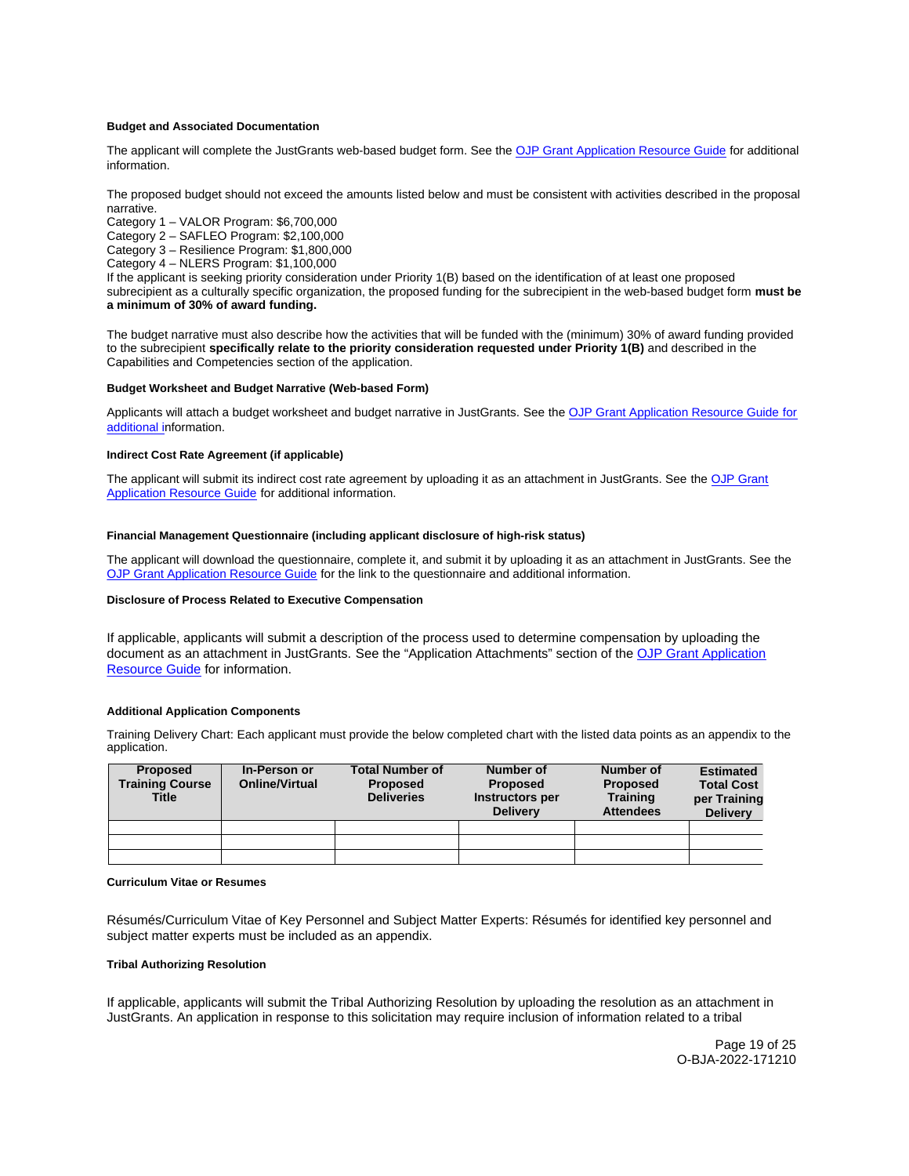## <span id="page-18-0"></span>**Budget and Associated Documentation**

The applicant will complete the JustGrants web-based budget form. See the [OJP Grant Application Resource Guide](https://www.ojp.gov/funding/apply/ojp-grant-application-resource-guide#budget-prep) for additional information.

The proposed budget should not exceed the amounts listed below and must be consistent with activities described in the proposal narrative.

Category 1 – VALOR Program: \$6,700,000

Category 2 – SAFLEO Program: \$2,100,000

Category 3 – Resilience Program: \$1,800,000

Category 4 – NLERS Program: \$1,100,000

If the applicant is seeking priority consideration under Priority 1(B) based on the identification of at least one proposed subrecipient as a culturally specific organization, the proposed funding for the subrecipient in the web-based budget form **must be a minimum of 30% of award funding.** 

The budget narrative must also describe how the activities that will be funded with the (minimum) 30% of award funding provided to the subrecipient **specifically relate to the priority consideration requested under Priority 1(B)** and described in the Capabilities and Competencies section of the application.

## **Budget Worksheet and Budget Narrative (Web-based Form)**

Applicants will attach a budget worksheet and budget narrative in JustGrants. See the [OJP Grant Application Resource Guide](https://ojp.gov/funding/Apply/Resources/Grant-App-Resource-Guide.htm) for additional information.

## **Indirect Cost Rate Agreement (if applicable)**

The applicant will submit its indirect cost rate agreement by uploading it as an attachment in JustGrants. See the [OJP Grant](https://www.ojp.gov/funding/apply/ojp-grant-application-resource-guide#indirect-cost)  [Application Resource Guide](https://www.ojp.gov/funding/apply/ojp-grant-application-resource-guide#indirect-cost) for additional information.

## **Financial Management Questionnaire (including applicant disclosure of high-risk status)**

The applicant will download the questionnaire, complete it, and submit it by uploading it as an attachment in JustGrants. See the [OJP Grant Application Resource Guide](https://www.ojp.gov/funding/apply/ojp-grant-application-resource-guide#fm-internal-controls-questionnaire) for the link to the questionnaire and additional information.

## **Disclosure of Process Related to Executive Compensation**

If applicable, applicants will submit a description of the process used to determine compensation by uploading the document as an attachment in JustGrants. See the "Application Attachments" section of the OJP Grant Application [Resource Guide](https://www.ojp.gov/funding/apply/ojp-grant-application-resource-guide#application-attachments) for information.

## **Additional Application Components**

Training Delivery Chart: Each applicant must provide the below completed chart with the listed data points as an appendix to the application.

| <b>Proposed</b><br><b>Training Course</b><br><b>Title</b> | In-Person or<br><b>Online/Virtual</b> | <b>Total Number of</b><br><b>Proposed</b><br><b>Deliveries</b> | Number of<br><b>Proposed</b><br>Instructors per<br><b>Delivery</b> | Number of<br><b>Proposed</b><br><b>Training</b><br><b>Attendees</b> | <b>Estimated</b><br><b>Total Cost</b><br>per Training<br><b>Delivery</b> |
|-----------------------------------------------------------|---------------------------------------|----------------------------------------------------------------|--------------------------------------------------------------------|---------------------------------------------------------------------|--------------------------------------------------------------------------|
|                                                           |                                       |                                                                |                                                                    |                                                                     |                                                                          |
|                                                           |                                       |                                                                |                                                                    |                                                                     |                                                                          |
|                                                           |                                       |                                                                |                                                                    |                                                                     |                                                                          |

## **Curriculum Vitae or Resumes**

Résumés/Curriculum Vitae of Key Personnel and Subject Matter Experts: Résumés for identified key personnel and subject matter experts must be included as an appendix.

## **Tribal Authorizing Resolution**

If applicable, applicants will submit the Tribal Authorizing Resolution by uploading the resolution as an attachment in JustGrants. An application in response to this solicitation may require inclusion of information related to a tribal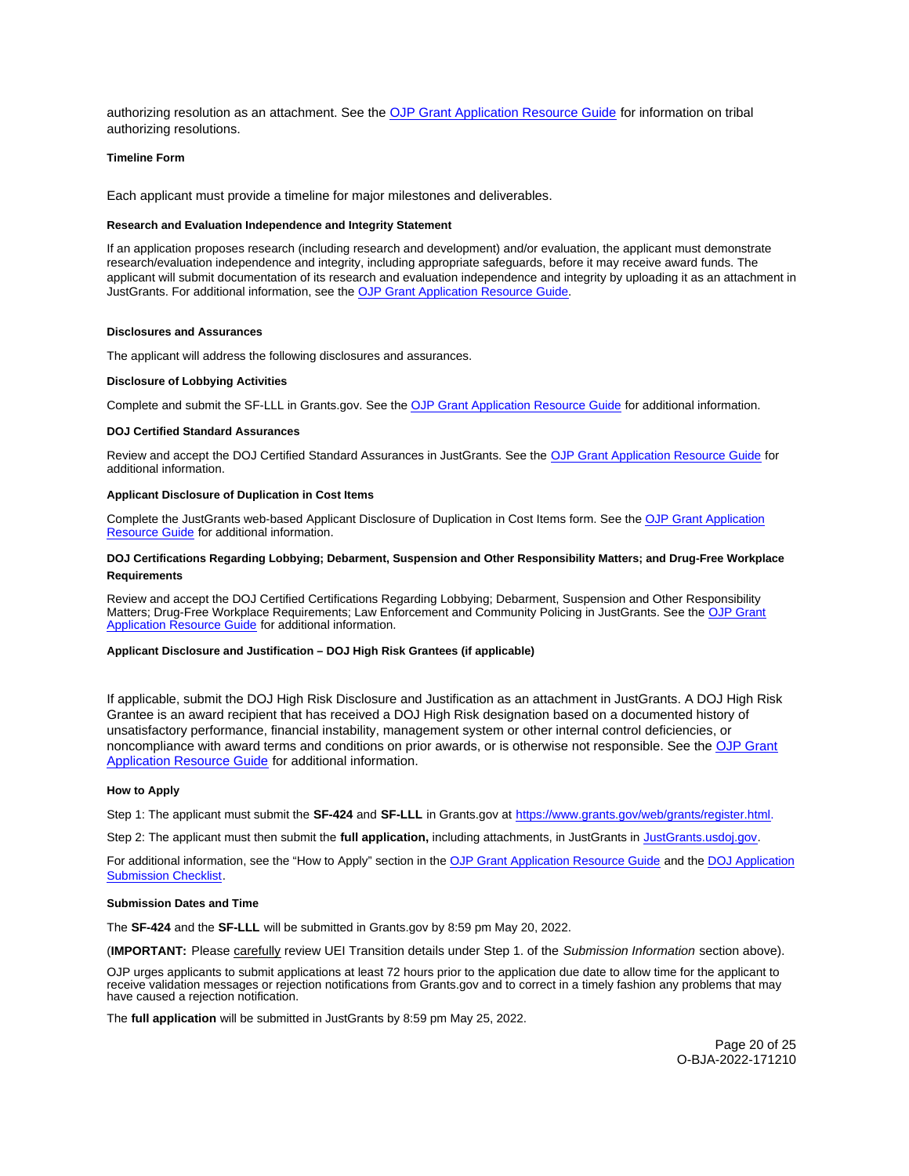<span id="page-19-0"></span>authorizing resolution as an attachment. See the [OJP Grant Application Resource Guide](https://www.ojp.gov/funding/apply/ojp-grant-application-resource-guide#tribal-authorizing-resolution) for information on tribal authorizing resolutions.

#### **Timeline Form**

Each applicant must provide a timeline for major milestones and deliverables.

#### **Research and Evaluation Independence and Integrity Statement**

If an application proposes research (including research and development) and/or evaluation, the applicant must demonstrate research/evaluation independence and integrity, including appropriate safeguards, before it may receive award funds. The applicant will submit documentation of its research and evaluation independence and integrity by uploading it as an attachment in JustGrants. For additional information, see the [OJP Grant Application Resource Guide.](https://www.ojp.gov/funding/apply/ojp-grant-application-resource-guide#research-evaluation)

## **Disclosures and Assurances**

The applicant will address the following disclosures and assurances.

#### **Disclosure of Lobbying Activities**

Complete and submit the SF-LLL in [Grants.gov](https://Grants.gov). See the [OJP Grant Application Resource Guide](https://www.ojp.gov/funding/apply/ojp-grant-application-resource-guide#disclosure-lobby) for additional information.

#### **DOJ Certified Standard Assurances**

Review and accept the DOJ Certified Standard Assurances in JustGrants. See the [OJP Grant Application Resource Guide](https://www.ojp.gov/funding/apply/ojp-grant-application-resource-guide#administrative) for additional information.

## **Applicant Disclosure of Duplication in Cost Items**

Complete the JustGrants web-based Applicant Disclosure of Duplication in Cost Items form. See the [OJP Grant Application](https://www.ojp.gov/funding/apply/ojp-grant-application-resource-guide#applicant-disclosure-pending-applications) [Resource Guide](https://www.ojp.gov/funding/apply/ojp-grant-application-resource-guide#applicant-disclosure-pending-applications) for additional information.

# **DOJ Certifications Regarding Lobbying; Debarment, Suspension and Other Responsibility Matters; and Drug-Free Workplace Requirements**

Review and accept the DOJ Certified Certifications Regarding Lobbying; Debarment, Suspension and Other Responsibility Matters; Drug-Free Workplace Requirements; Law Enforcement and Community Policing in JustGrants. See the [OJP Grant](https://www.ojp.gov/funding/apply/ojp-grant-application-resource-guide#administrative) [Application Resource Guide f](https://www.ojp.gov/funding/apply/ojp-grant-application-resource-guide#administrative)or additional information.

## **Applicant Disclosure and Justification – DOJ High Risk Grantees (if applicable)**

If applicable, submit the DOJ High Risk Disclosure and Justification as an attachment in JustGrants. A DOJ High Risk Grantee is an award recipient that has received a DOJ High Risk designation based on a documented history of unsatisfactory performance, financial instability, management system or other internal control deficiencies, or noncompliance with award terms and conditions on prior awards, or is otherwise not responsible. See the [OJP Grant](https://www.ojp.gov/funding/apply/ojp-grant-application-resource-guide#applicant-disclosure-justification)  [Application Resource Guide](https://www.ojp.gov/funding/apply/ojp-grant-application-resource-guide#applicant-disclosure-justification) for additional information.

#### **How to Apply**

Step 1: The applicant must submit the **SF-424** and **SF-LLL** in [Grants.gov](https://Grants.gov) at [https://www.grants.gov/web/grants/register.html.](https://www.grants.gov/web/grants/register.html)

Step 2: The applicant must then submit the **full application,** including attachments, in JustGrants in [JustGrants.usdoj.gov.](https://justicegrants.usdoj.gov/) 

For additional information, see the "How to Apply" section in the [OJP Grant Application Resource Guide](https://www.ojp.gov/funding/apply/ojp-grant-application-resource-guide#apply) and the [DOJ Application](https://justicegrants.usdoj.gov/sites/g/files/xyckuh296/files/media/document/appln-submission-checklist.pdf) [Submission Checklist.](https://justicegrants.usdoj.gov/sites/g/files/xyckuh296/files/media/document/appln-submission-checklist.pdf)

#### **Submission Dates and Time**

The **SF-424** and the **SF-LLL** will be submitted in [Grants.gov](https://Grants.gov) by 8:59 pm May 20, 2022.

(**IMPORTANT:** Please carefully review UEI Transition details under Step 1. of the Submission Information section above).

OJP urges applicants to submit applications at least 72 hours prior to the application due date to allow time for the applicant to receive validation messages or rejection notifications from [Grants.gov](https://Grants.gov) and to correct in a timely fashion any problems that may have caused a rejection notification.

The **full application** will be submitted in JustGrants by 8:59 pm May 25, 2022.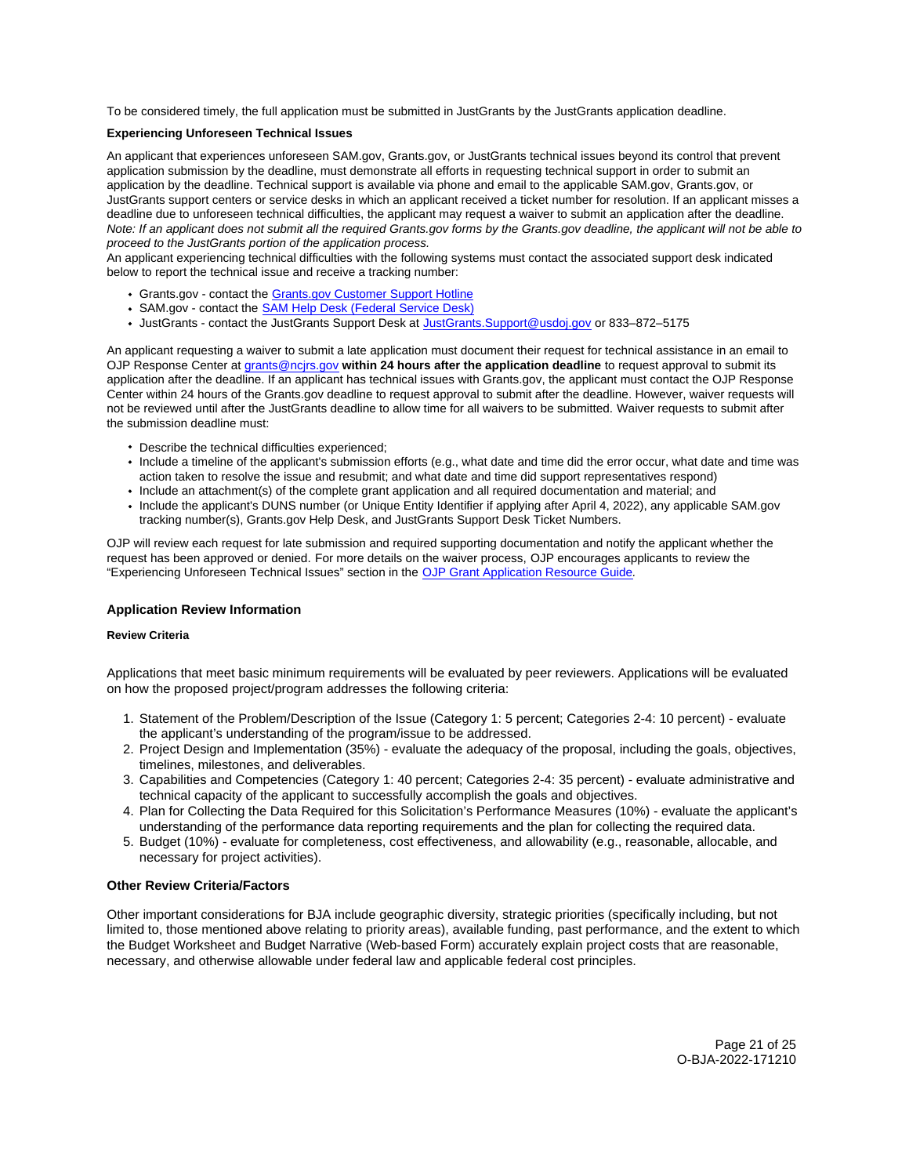<span id="page-20-0"></span>To be considered timely, the full application must be submitted in JustGrants by the JustGrants application deadline.

# **Experiencing Unforeseen Technical Issues**

An applicant that experiences unforeseen SAM.gov, [Grants.gov](https://Grants.gov), or JustGrants technical issues beyond its control that prevent application submission by the deadline, must demonstrate all efforts in requesting technical support in order to submit an application by the deadline. Technical support is available via phone and email to the applicable SAM.gov, [Grants.gov,](https://Grants.gov) or JustGrants support centers or service desks in which an applicant received a ticket number for resolution. If an applicant misses a deadline due to unforeseen technical difficulties, the applicant may request a waiver to submit an application after the deadline. Note: If an applicant does not submit all the required [Grants.gov](https://Grants.gov) forms by the [Grants.gov](https://Grants.gov) deadline, the applicant will not be able to proceed to the JustGrants portion of the application process.

An applicant experiencing technical difficulties with the following systems must contact the associated support desk indicated below to report the technical issue and receive a tracking number:

- [Grants.gov](https://Grants.gov)  contact the [Grants.gov Customer Support Hotline](https://www.grants.gov/web/grants/support.html)
- SAM.gov contact the **SAM Help Desk (Federal Service Desk)**
- JustGrants contact the JustGrants Support Desk at [JustGrants.Support@usdoj.gov](mailto:JustGrants.Support@usdoj.gov) or 833–872–5175

An applicant requesting a waiver to submit a late application must document their request for technical assistance in an email to OJP Response Center at [grants@ncjrs.gov](file:///C:/Users/local_Yehj/INetCache/Content.Outlook/20U4XBR7/grants@ncjrs.gov) **within 24 hours after the application deadline** to request approval to submit its application after the deadline. If an applicant has technical issues with [Grants.gov](https://Grants.gov), the applicant must contact the OJP Response Center within 24 hours of the [Grants.gov](https://Grants.gov) deadline to request approval to submit after the deadline. However, waiver requests will not be reviewed until after the JustGrants deadline to allow time for all waivers to be submitted. Waiver requests to submit after the submission deadline must:

- Describe the technical difficulties experienced;
- Include a timeline of the applicant's submission efforts (e.g., what date and time did the error occur, what date and time was action taken to resolve the issue and resubmit; and what date and time did support representatives respond)
- Include an attachment(s) of the complete grant application and all required documentation and material; and
- Include the applicant's DUNS number (or Unique Entity Identifier if applying after April 4, 2022), any applicable SAM.gov tracking number(s), [Grants.gov](https://Grants.gov) Help Desk, and JustGrants Support Desk Ticket Numbers.

OJP will review each request for late submission and required supporting documentation and notify the applicant whether the request has been approved or denied. For more details on the waiver process, OJP encourages applicants to review the "Experiencing Unforeseen Technical Issues" section in the [OJP Grant Application Resource Guide](https://www.ojp.gov/funding/apply/ojp-grant-application-resource-guide#experiencing-unforeseen-technical-issues).

# **Application Review Information**

# **Review Criteria**

Applications that meet basic minimum requirements will be evaluated by peer reviewers. Applications will be evaluated on how the proposed project/program addresses the following criteria:

- 1. Statement of the Problem/Description of the Issue (Category 1: 5 percent; Categories 2-4: 10 percent) evaluate the applicant's understanding of the program/issue to be addressed.
- 2. Project Design and Implementation (35%) evaluate the adequacy of the proposal, including the goals, objectives, timelines, milestones, and deliverables.
- 3. Capabilities and Competencies (Category 1: 40 percent; Categories 2-4: 35 percent) evaluate administrative and technical capacity of the applicant to successfully accomplish the goals and objectives.
- 4. Plan for Collecting the Data Required for this Solicitation's Performance Measures (10%) evaluate the applicant's understanding of the performance data reporting requirements and the plan for collecting the required data.
- 5. Budget (10%) evaluate for completeness, cost effectiveness, and allowability (e.g., reasonable, allocable, and necessary for project activities).

# **Other Review Criteria/Factors**

Other important considerations for BJA include geographic diversity, strategic priorities (specifically including, but not limited to, those mentioned above relating to priority areas), available funding, past performance, and the extent to which the Budget Worksheet and Budget Narrative (Web-based Form) accurately explain project costs that are reasonable, necessary, and otherwise allowable under federal law and applicable federal cost principles.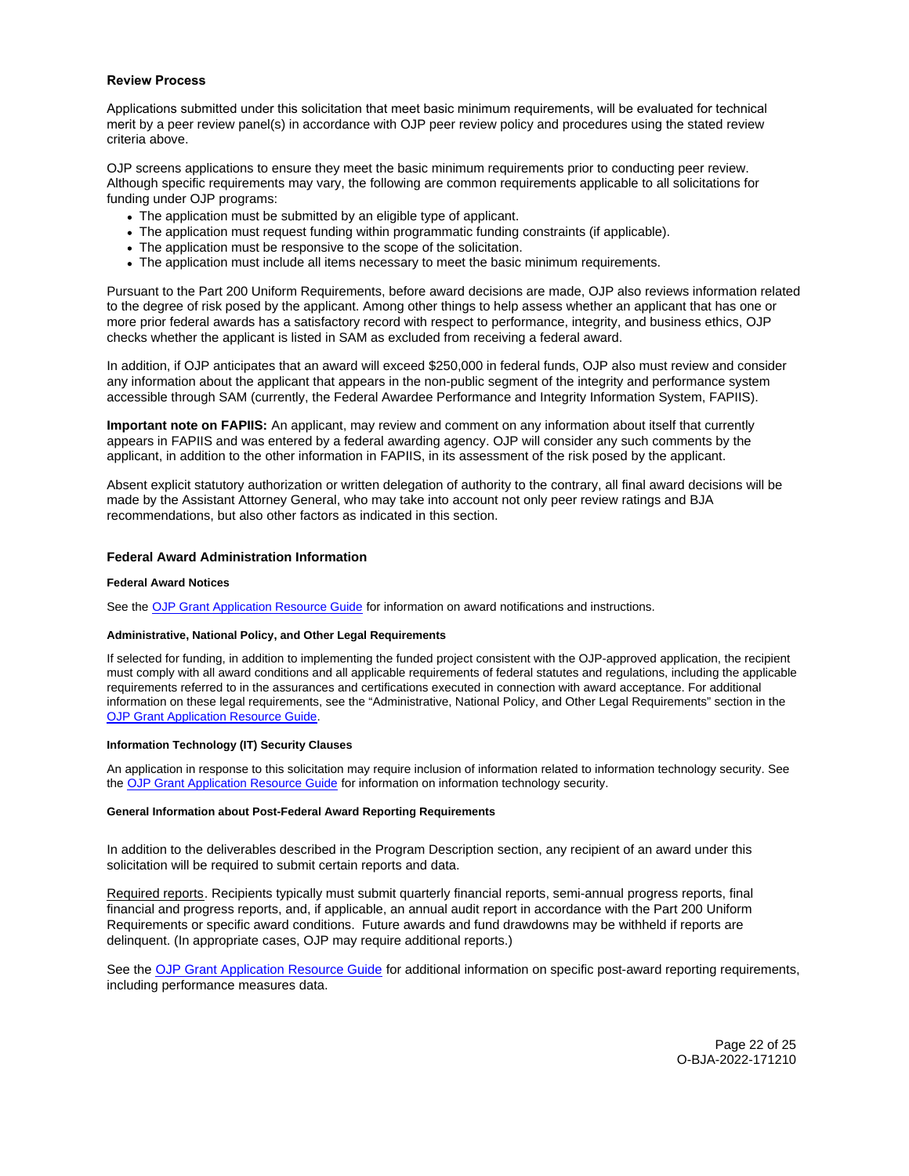## <span id="page-21-0"></span>**Review Process**

Applications submitted under this solicitation that meet basic minimum requirements, will be evaluated for technical merit by a peer review panel(s) in accordance with OJP peer review policy and procedures using the stated review criteria above.

OJP screens applications to ensure they meet the basic minimum requirements prior to conducting peer review. Although specific requirements may vary, the following are common requirements applicable to all solicitations for funding under OJP programs:

- The application must be submitted by an eligible type of applicant.
- The application must request funding within programmatic funding constraints (if applicable).
- The application must be responsive to the scope of the solicitation.
- The application must include all items necessary to meet the basic minimum requirements.

Pursuant to the Part 200 Uniform Requirements, before award decisions are made, OJP also reviews information related to the degree of risk posed by the applicant. Among other things to help assess whether an applicant that has one or more prior federal awards has a satisfactory record with respect to performance, integrity, and business ethics, OJP checks whether the applicant is listed in SAM as excluded from receiving a federal award.

In addition, if OJP anticipates that an award will exceed \$250,000 in federal funds, OJP also must review and consider any information about the applicant that appears in the non-public segment of the integrity and performance system accessible through SAM (currently, the Federal Awardee Performance and Integrity Information System, FAPIIS).

**Important note on FAPIIS:** An applicant, may review and comment on any information about itself that currently appears in FAPIIS and was entered by a federal awarding agency. OJP will consider any such comments by the applicant, in addition to the other information in FAPIIS, in its assessment of the risk posed by the applicant.

Absent explicit statutory authorization or written delegation of authority to the contrary, all final award decisions will be made by the Assistant Attorney General, who may take into account not only peer review ratings and BJA recommendations, but also other factors as indicated in this section.

# **Federal Award Administration Information**

## **Federal Award Notices**

See the [OJP Grant Application Resource Guide](https://www.ojp.gov/funding/apply/ojp-grant-application-resource-guide#federal-award-notices) for information on award notifications and instructions.

# **Administrative, National Policy, and Other Legal Requirements**

If selected for funding, in addition to implementing the funded project consistent with the OJP-approved application, the recipient must comply with all award conditions and all applicable requirements of federal statutes and regulations, including the applicable requirements referred to in the assurances and certifications executed in connection with award acceptance. For additional information on these legal requirements, see the "Administrative, National Policy, and Other Legal Requirements" section in the [OJP Grant Application Resource Guide.](https://www.ojp.gov/funding/apply/ojp-grant-application-resource-guide#administrative) 

## **Information Technology (IT) Security Clauses**

An application in response to this solicitation may require inclusion of information related to information technology security. See the [OJP Grant Application Resource Guide](https://www.ojp.gov/funding/apply/ojp-grant-application-resource-guide#information-technology) for information on information technology security.

## **General Information about Post-Federal Award Reporting Requirements**

In addition to the deliverables described in the Program Description section, any recipient of an award under this solicitation will be required to submit certain reports and data.

Required reports. Recipients typically must submit quarterly financial reports, semi-annual progress reports, final financial and progress reports, and, if applicable, an annual audit report in accordance with the Part 200 Uniform Requirements or specific award conditions. Future awards and fund drawdowns may be withheld if reports are delinquent. (In appropriate cases, OJP may require additional reports.)

See the [OJP Grant Application Resource Guide](https://www.ojp.gov/funding/apply/ojp-grant-application-resource-guide#general-information) for additional information on specific post-award reporting requirements, including performance measures data.

> Page 22 of 25 O-BJA-2022-171210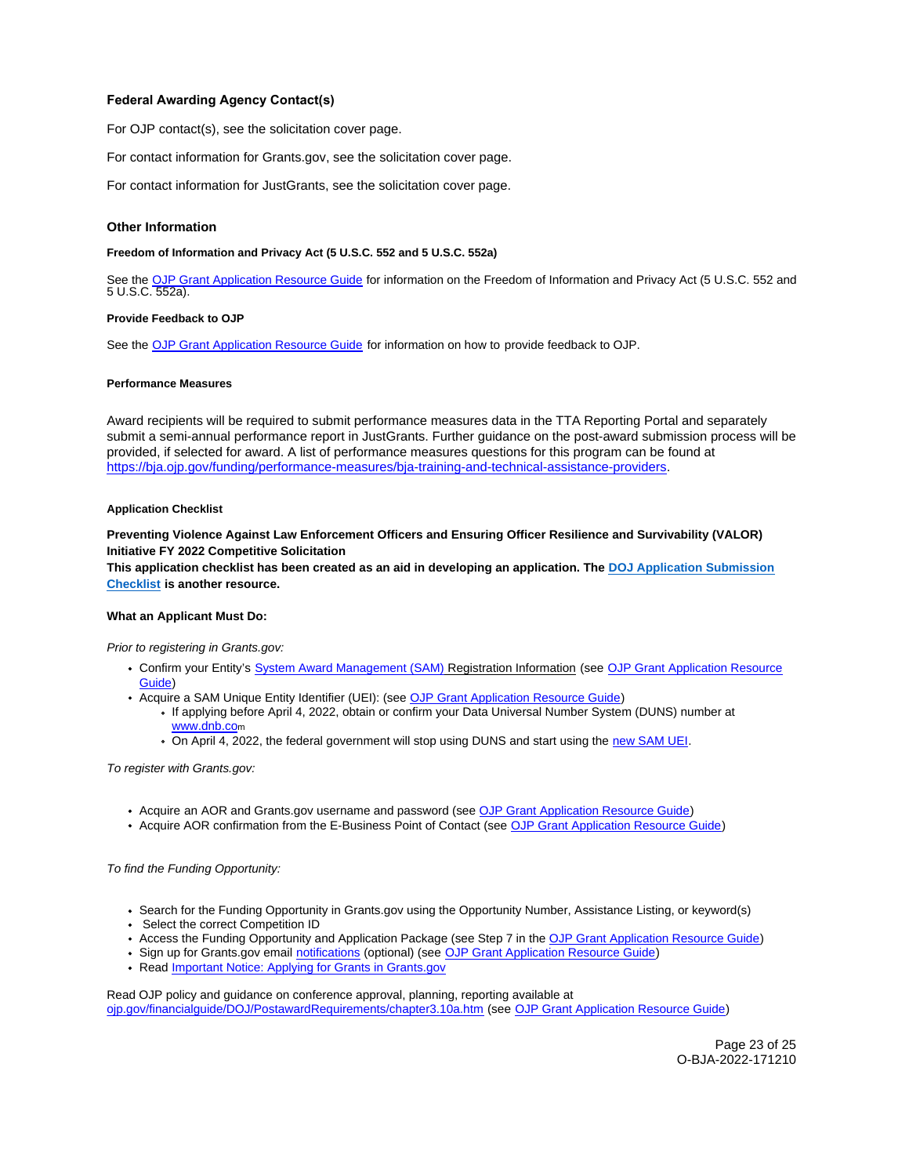# <span id="page-22-0"></span>**Federal Awarding Agency Contact(s)**

For OJP contact(s), see the solicitation cover page.

For contact information for [Grants.gov,](https://Grants.gov) see the solicitation cover page.

For contact information for JustGrants, see the solicitation cover page.

## **Other Information**

## **Freedom of Information and Privacy Act (5 U.S.C. 552 and 5 U.S.C. 552a)**

See the [OJP Grant Application Resource Guide](https://www.ojp.gov/funding/apply/ojp-grant-application-resource-guide#foia) for information on the Freedom of Information and Privacy Act (5 U.S.C. 552 and 5 U.S.C. 552a).

#### **Provide Feedback to OJP**

See the [OJP Grant Application Resource Guide](https://www.ojp.gov/funding/apply/ojp-grant-application-resource-guide#feedback) for information on how to provide feedback to OJP.

#### **Performance Measures**

Award recipients will be required to submit performance measures data in the TTA Reporting Portal and separately submit a semi-annual performance report in JustGrants. Further guidance on the post-award submission process will be provided, if selected for award. A list of performance measures questions for this program can be found at [https://bja.ojp.gov/funding/performance-measures/bja-training-and-technical-assistance-providers.](https://bja.ojp.gov/funding/performance-measures/bja-training-and-technical-assistance-providers) 

#### **Application Checklist**

**Preventing Violence Against Law Enforcement Officers and Ensuring Officer Resilience and Survivability (VALOR) Initiative FY 2022 Competitive Solicitation** 

**This application checklist has been created as an aid in developing an application. The [DOJ Application Submission](https://justicegrants.usdoj.gov/sites/g/files/xyckuh296/files/media/document/appln-submission-checklist.pdf)  [Checklist](https://justicegrants.usdoj.gov/sites/g/files/xyckuh296/files/media/document/appln-submission-checklist.pdf) is another resource.** 

## **What an Applicant Must Do:**

Prior to registering in [Grants.gov](https://Grants.gov):

- Confirm your Entity's [System Award Management \(SAM\)](https://sam.gov/SAM/) Registration Information (see OJP Grant Application Resource [Guide\)](https://www.ojp.gov/funding/apply/ojp-grant-application-resource-guide#apply)
- Acquire a SAM Unique Entity Identifier (UEI): (see [OJP Grant Application Resource Guide\)](https://www.ojp.gov/funding/apply/ojp-grant-application-resource-guide#apply)
	- If applying before April 4, 2022, obtain or confirm your Data Universal Number System (DUNS) number at [www.dnb.com](http://www.dnb.com)
	- On April 4, 2022, the federal government will stop using DUNS and start using the [new SAM UEI.](https://justicegrants.usdoj.gov/resources/system-for-award-management#transition-to-unique-entity-id-sam)

To register with [Grants.gov:](https://Grants.gov)

- Acquire an AOR and [Grants.gov](https://Grants.gov) username and password (see [OJP Grant Application Resource Guide\)](https://www.ojp.gov/funding/apply/ojp-grant-application-resource-guide#apply)
- Acquire AOR confirmation from the E-Business Point of Contact (see [OJP Grant Application Resource Guide\)](https://www.ojp.gov/funding/apply/ojp-grant-application-resource-guide#apply)

To find the Funding Opportunity:

- Search for the Funding Opportunity in [Grants.gov](https://Grants.gov) using the Opportunity Number, Assistance Listing, or keyword(s)
- Select the correct Competition ID
- Access the Funding Opportunity and Application Package (see Step 7 in the [OJP Grant Application Resource Guide\)](https://www.ojp.gov/funding/apply/ojp-grant-application-resource-guide#apply)
- Sign up for [Grants.gov](https://Grants.gov) email [notifications](https://www.grants.gov/web/grants/manage-subscriptions.html) (optional) (see [OJP Grant Application Resource Guide\)](https://www.ojp.gov/funding/apply/ojp-grant-application-resource-guide#apply)
- Read Important Notice: Applying for Grants in Grants.gov

Read OJP policy and guidance on conference approval, planning, reporting available at [ojp.gov/financialguide/DOJ/PostawardRequirements/chapter3.10a.htm](https://ojp.gov/financialguide/DOJ/PostawardRequirements/chapter3.10a.htm) (see [OJP Grant Application Resource Guide\)](https://www.ojp.gov/funding/apply/ojp-grant-application-resource-guide#prior-approval)

> Page 23 of 25 O-BJA-2022-171210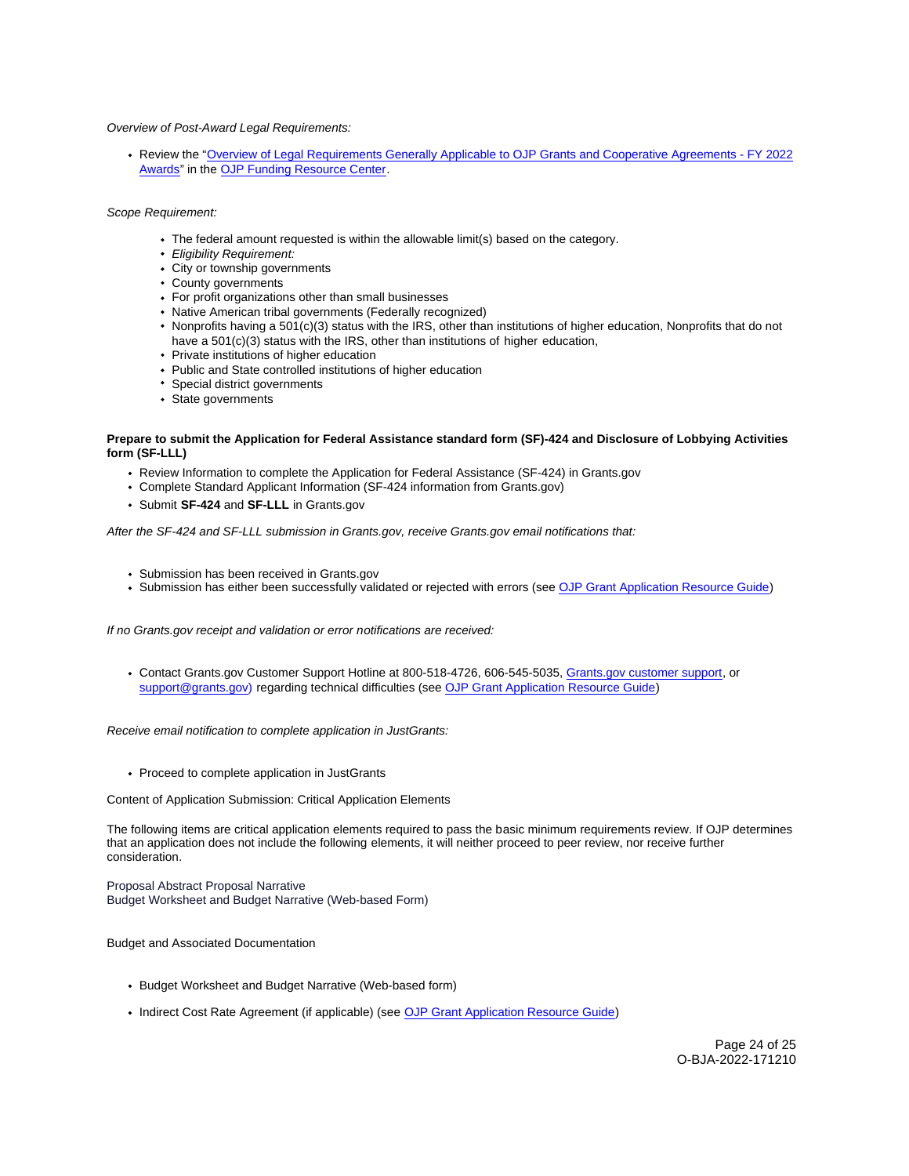## Overview of Post-Award Legal Requirements:

Review the ["Overview of Legal Requirements Generally Applicable to OJP Grants and Cooperative Agreements - FY 2022](https://www.ojp.gov/funding/explore/legal-overview-awards)  [Awards"](https://www.ojp.gov/funding/explore/legal-overview-awards) in the [OJP Funding Resource Center.](https://www.ojp.gov/funding/index.htm)

## Scope Requirement:

- The federal amount requested is within the allowable limit(s) based on the category.
- Eligibility Requirement:
- City or township governments
- County governments
- For profit organizations other than small businesses
- Native American tribal governments (Federally recognized)
- Nonprofits having a 501(c)(3) status with the IRS, other than institutions of higher education, Nonprofits that do not have a 501(c)(3) status with the IRS, other than institutions of higher education,
- Private institutions of higher education
- Public and State controlled institutions of higher education
- Special district governments
- State governments

## **Prepare to submit the Application for Federal Assistance standard form (SF)-424 and Disclosure of Lobbying Activities form (SF-LLL)**

- Review Information to complete the Application for Federal Assistance (SF-424) in [Grants.gov](https://Grants.gov)
- Complete Standard Applicant Information (SF-424 information from [Grants.gov\)](https://Grants.gov)
- Submit **SF-424** and **SF-LLL** in [Grants.gov](https://Grants.gov)

After the SF-424 and SF-LLL submission in [Grants.gov](https://Grants.gov), receive [Grants.gov](https://Grants.gov) email notifications that:

- Submission has been received in [Grants.gov](https://Grants.gov)
- Submission has either been successfully validated or rejected with errors (see [OJP Grant Application Resource Guide\)](https://www.ojp.gov/funding/apply/ojp-grant-application-resource-guide#apply)

If no [Grants.gov](https://Grants.gov) receipt and validation or error notifications are received:

Contact [Grants.gov](https://Grants.gov) Customer Support Hotline at 800-518-4726, 606-545-5035, [Grants.gov customer support,](https://www.grants.gov/web/grants/support.html) or [support@grants.gov\)](mailto:support@grants.gov) regarding technical difficulties (see [OJP Grant Application Resource Guide\)](https://www.ojp.gov/funding/apply/ojp-grant-application-resource-guide#apply)

Receive email notification to complete application in JustGrants:

• Proceed to complete application in JustGrants

Content of Application Submission: Critical Application Elements

The following items are critical application elements required to pass the basic minimum requirements review. If OJP determines that an application does not include the following elements, it will neither proceed to peer review, nor receive further consideration.

Proposal Abstract Proposal Narrative Budget Worksheet and Budget Narrative (Web-based Form)

## Budget and Associated Documentation

- Budget Worksheet and Budget Narrative (Web-based form)
- Indirect Cost Rate Agreement (if applicable) (see [OJP Grant Application Resource Guide\)](https://www.ojp.gov/funding/apply/ojp-grant-application-resource-guide#indirect-cost)